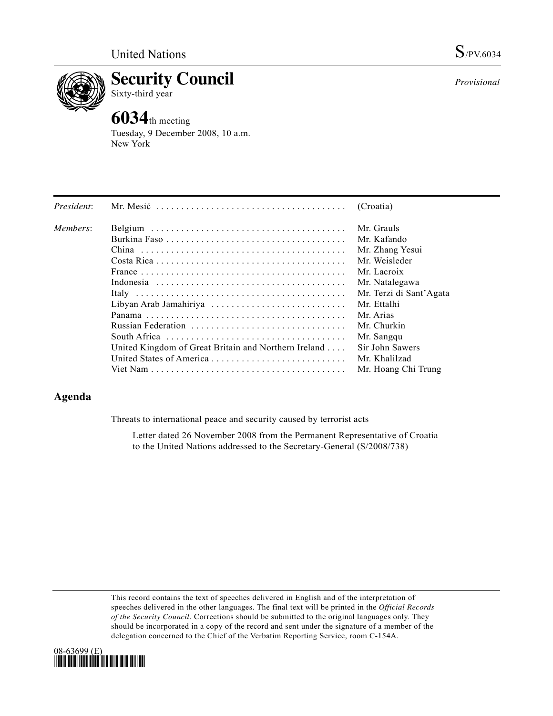

**Security Council** 

## Sixty-third year

# **6034**th meeting

Tuesday, 9 December 2008, 10 a.m. New York

| President: |                                                      | (Croatia)               |
|------------|------------------------------------------------------|-------------------------|
| Members:   |                                                      | Mr. Grauls              |
|            |                                                      | Mr. Kafando             |
|            |                                                      | Mr. Zhang Yesui         |
|            |                                                      | Mr. Weisleder           |
|            |                                                      | Mr. Lacroix             |
|            |                                                      | Mr. Natalegawa          |
|            |                                                      | Mr. Terzi di Sant'Agata |
|            | Libyan Arab Jamahiriya                               | Mr. Ettalhi             |
|            |                                                      | Mr. Arias               |
|            |                                                      | Mr. Churkin             |
|            | South Africa                                         | Mr. Sangqu              |
|            | United Kingdom of Great Britain and Northern Ireland | Sir John Sawers         |
|            | United States of America                             | Mr. Khalilzad           |
|            |                                                      | Mr. Hoang Chi Trung     |

### **Agenda**

Threats to international peace and security caused by terrorist acts

 Letter dated 26 November 2008 from the Permanent Representative of Croatia to the United Nations addressed to the Secretary-General (S/2008/738)

This record contains the text of speeches delivered in English and of the interpretation of speeches delivered in the other languages. The final text will be printed in the *Official Records of the Security Council*. Corrections should be submitted to the original languages only. They should be incorporated in a copy of the record and sent under the signature of a member of the delegation concerned to the Chief of the Verbatim Reporting Service, room C-154A.



*Provisional*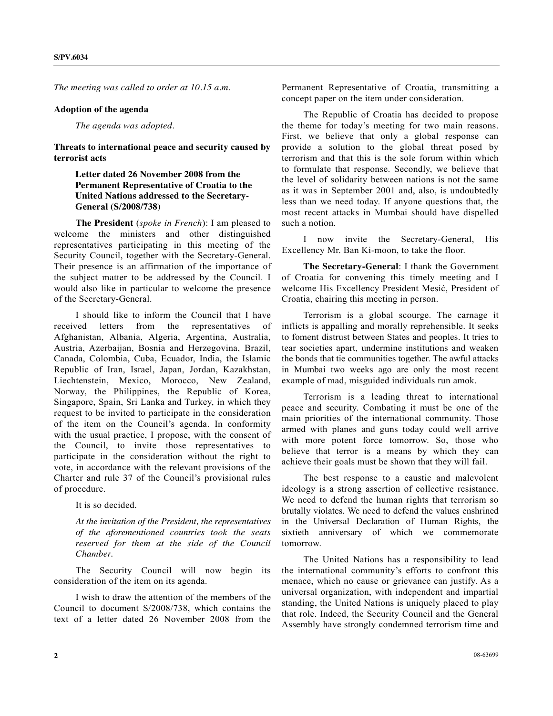*The meeting was called to order at 10.15 a.m.* 

#### **Adoption of the agenda**

*The agenda was adopted*.

**Threats to international peace and security caused by terrorist acts** 

#### **Letter dated 26 November 2008 from the Permanent Representative of Croatia to the United Nations addressed to the Secretary-General (S/2008/738)**

 **The President** (*spoke in French*): I am pleased to welcome the ministers and other distinguished representatives participating in this meeting of the Security Council, together with the Secretary-General. Their presence is an affirmation of the importance of the subject matter to be addressed by the Council. I would also like in particular to welcome the presence of the Secretary-General.

 I should like to inform the Council that I have received letters from the representatives of Afghanistan, Albania, Algeria, Argentina, Australia, Austria, Azerbaijan, Bosnia and Herzegovina, Brazil, Canada, Colombia, Cuba, Ecuador, India, the Islamic Republic of Iran, Israel, Japan, Jordan, Kazakhstan, Liechtenstein, Mexico, Morocco, New Zealand, Norway, the Philippines, the Republic of Korea, Singapore, Spain, Sri Lanka and Turkey, in which they request to be invited to participate in the consideration of the item on the Council's agenda. In conformity with the usual practice, I propose, with the consent of the Council, to invite those representatives to participate in the consideration without the right to vote, in accordance with the relevant provisions of the Charter and rule 37 of the Council's provisional rules of procedure.

It is so decided.

*At the invitation of the President, the representatives of the aforementioned countries took the seats reserved for them at the side of the Council Chamber.* 

 The Security Council will now begin its consideration of the item on its agenda.

 I wish to draw the attention of the members of the Council to document S/2008/738, which contains the text of a letter dated 26 November 2008 from the

Permanent Representative of Croatia, transmitting a concept paper on the item under consideration.

 The Republic of Croatia has decided to propose the theme for today's meeting for two main reasons. First, we believe that only a global response can provide a solution to the global threat posed by terrorism and that this is the sole forum within which to formulate that response. Secondly, we believe that the level of solidarity between nations is not the same as it was in September 2001 and, also, is undoubtedly less than we need today. If anyone questions that, the most recent attacks in Mumbai should have dispelled such a notion.

 I now invite the Secretary-General, His Excellency Mr. Ban Ki-moon, to take the floor.

**The Secretary-General**: I thank the Government of Croatia for convening this timely meeting and I welcome His Excellency President Mesić, President of Croatia, chairing this meeting in person.

 Terrorism is a global scourge. The carnage it inflicts is appalling and morally reprehensible. It seeks to foment distrust between States and peoples. It tries to tear societies apart, undermine institutions and weaken the bonds that tie communities together. The awful attacks in Mumbai two weeks ago are only the most recent example of mad, misguided individuals run amok.

 Terrorism is a leading threat to international peace and security. Combating it must be one of the main priorities of the international community. Those armed with planes and guns today could well arrive with more potent force tomorrow. So, those who believe that terror is a means by which they can achieve their goals must be shown that they will fail.

 The best response to a caustic and malevolent ideology is a strong assertion of collective resistance. We need to defend the human rights that terrorism so brutally violates. We need to defend the values enshrined in the Universal Declaration of Human Rights, the sixtieth anniversary of which we commemorate tomorrow.

 The United Nations has a responsibility to lead the international community's efforts to confront this menace, which no cause or grievance can justify. As a universal organization, with independent and impartial standing, the United Nations is uniquely placed to play that role. Indeed, the Security Council and the General Assembly have strongly condemned terrorism time and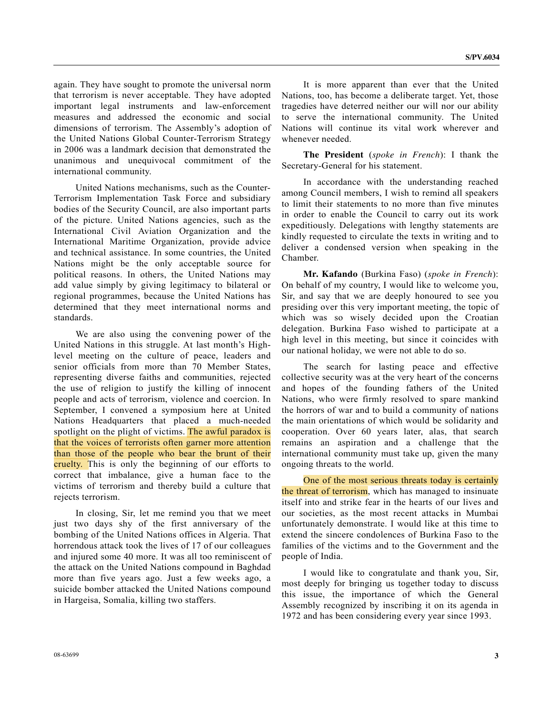again. They have sought to promote the universal norm that terrorism is never acceptable. They have adopted important legal instruments and law-enforcement measures and addressed the economic and social dimensions of terrorism. The Assembly's adoption of the United Nations Global Counter-Terrorism Strategy in 2006 was a landmark decision that demonstrated the unanimous and unequivocal commitment of the international community.

 United Nations mechanisms, such as the Counter-Terrorism Implementation Task Force and subsidiary bodies of the Security Council, are also important parts of the picture. United Nations agencies, such as the International Civil Aviation Organization and the International Maritime Organization, provide advice and technical assistance. In some countries, the United Nations might be the only acceptable source for political reasons. In others, the United Nations may add value simply by giving legitimacy to bilateral or regional programmes, because the United Nations has determined that they meet international norms and standards.

 We are also using the convening power of the United Nations in this struggle. At last month's Highlevel meeting on the culture of peace, leaders and senior officials from more than 70 Member States, representing diverse faiths and communities, rejected the use of religion to justify the killing of innocent people and acts of terrorism, violence and coercion. In September, I convened a symposium here at United Nations Headquarters that placed a much-needed spotlight on the plight of victims. The awful paradox is that the voices of terrorists often garner more attention than those of the people who bear the brunt of their cruelty. This is only the beginning of our efforts to correct that imbalance, give a human face to the victims of terrorism and thereby build a culture that rejects terrorism.

 In closing, Sir, let me remind you that we meet just two days shy of the first anniversary of the bombing of the United Nations offices in Algeria. That horrendous attack took the lives of 17 of our colleagues and injured some 40 more. It was all too reminiscent of the attack on the United Nations compound in Baghdad more than five years ago. Just a few weeks ago, a suicide bomber attacked the United Nations compound in Hargeisa, Somalia, killing two staffers.

 It is more apparent than ever that the United Nations, too, has become a deliberate target. Yet, those tragedies have deterred neither our will nor our ability to serve the international community. The United Nations will continue its vital work wherever and whenever needed.

**The President** (*spoke in French*): I thank the Secretary-General for his statement.

 In accordance with the understanding reached among Council members, I wish to remind all speakers to limit their statements to no more than five minutes in order to enable the Council to carry out its work expeditiously. Delegations with lengthy statements are kindly requested to circulate the texts in writing and to deliver a condensed version when speaking in the Chamber.

**Mr. Kafando** (Burkina Faso) (*spoke in French*): On behalf of my country, I would like to welcome you, Sir, and say that we are deeply honoured to see you presiding over this very important meeting, the topic of which was so wisely decided upon the Croatian delegation. Burkina Faso wished to participate at a high level in this meeting, but since it coincides with our national holiday, we were not able to do so.

 The search for lasting peace and effective collective security was at the very heart of the concerns and hopes of the founding fathers of the United Nations, who were firmly resolved to spare mankind the horrors of war and to build a community of nations the main orientations of which would be solidarity and cooperation. Over 60 years later, alas, that search remains an aspiration and a challenge that the international community must take up, given the many ongoing threats to the world.

 One of the most serious threats today is certainly the threat of terrorism, which has managed to insinuate itself into and strike fear in the hearts of our lives and our societies, as the most recent attacks in Mumbai unfortunately demonstrate. I would like at this time to extend the sincere condolences of Burkina Faso to the families of the victims and to the Government and the people of India.

 I would like to congratulate and thank you, Sir, most deeply for bringing us together today to discuss this issue, the importance of which the General Assembly recognized by inscribing it on its agenda in 1972 and has been considering every year since 1993.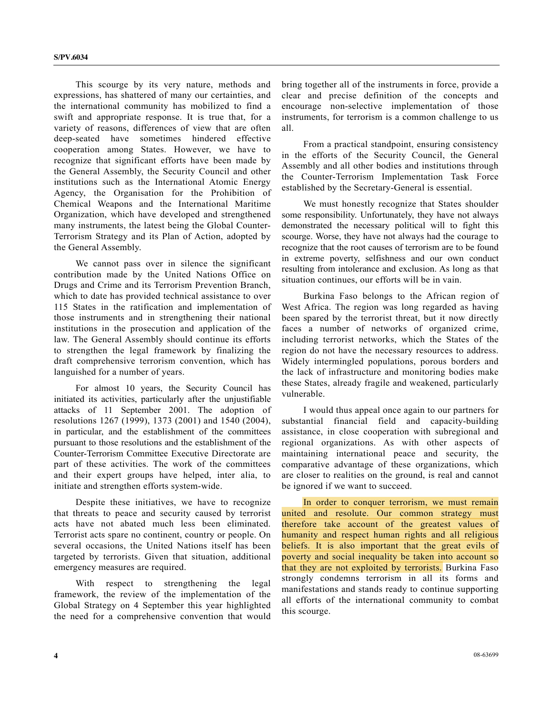This scourge by its very nature, methods and expressions, has shattered of many our certainties, and the international community has mobilized to find a swift and appropriate response. It is true that, for a variety of reasons, differences of view that are often deep-seated have sometimes hindered effective cooperation among States. However, we have to recognize that significant efforts have been made by the General Assembly, the Security Council and other institutions such as the International Atomic Energy Agency, the Organisation for the Prohibition of Chemical Weapons and the International Maritime Organization, which have developed and strengthened many instruments, the latest being the Global Counter-Terrorism Strategy and its Plan of Action, adopted by the General Assembly.

 We cannot pass over in silence the significant contribution made by the United Nations Office on Drugs and Crime and its Terrorism Prevention Branch, which to date has provided technical assistance to over 115 States in the ratification and implementation of those instruments and in strengthening their national institutions in the prosecution and application of the law. The General Assembly should continue its efforts to strengthen the legal framework by finalizing the draft comprehensive terrorism convention, which has languished for a number of years.

 For almost 10 years, the Security Council has initiated its activities, particularly after the unjustifiable attacks of 11 September 2001. The adoption of resolutions 1267 (1999), 1373 (2001) and 1540 (2004), in particular, and the establishment of the committees pursuant to those resolutions and the establishment of the Counter-Terrorism Committee Executive Directorate are part of these activities. The work of the committees and their expert groups have helped, inter alia, to initiate and strengthen efforts system-wide.

 Despite these initiatives, we have to recognize that threats to peace and security caused by terrorist acts have not abated much less been eliminated. Terrorist acts spare no continent, country or people. On several occasions, the United Nations itself has been targeted by terrorists. Given that situation, additional emergency measures are required.

With respect to strengthening the legal framework, the review of the implementation of the Global Strategy on 4 September this year highlighted the need for a comprehensive convention that would

bring together all of the instruments in force, provide a clear and precise definition of the concepts and encourage non-selective implementation of those instruments, for terrorism is a common challenge to us all.

 From a practical standpoint, ensuring consistency in the efforts of the Security Council, the General Assembly and all other bodies and institutions through the Counter-Terrorism Implementation Task Force established by the Secretary-General is essential.

 We must honestly recognize that States shoulder some responsibility. Unfortunately, they have not always demonstrated the necessary political will to fight this scourge. Worse, they have not always had the courage to recognize that the root causes of terrorism are to be found in extreme poverty, selfishness and our own conduct resulting from intolerance and exclusion. As long as that situation continues, our efforts will be in vain.

 Burkina Faso belongs to the African region of West Africa. The region was long regarded as having been spared by the terrorist threat, but it now directly faces a number of networks of organized crime, including terrorist networks, which the States of the region do not have the necessary resources to address. Widely intermingled populations, porous borders and the lack of infrastructure and monitoring bodies make these States, already fragile and weakened, particularly vulnerable.

 I would thus appeal once again to our partners for substantial financial field and capacity-building assistance, in close cooperation with subregional and regional organizations. As with other aspects of maintaining international peace and security, the comparative advantage of these organizations, which are closer to realities on the ground, is real and cannot be ignored if we want to succeed.

 In order to conquer terrorism, we must remain united and resolute. Our common strategy must therefore take account of the greatest values of humanity and respect human rights and all religious beliefs. It is also important that the great evils of poverty and social inequality be taken into account so that they are not exploited by terrorists. Burkina Faso strongly condemns terrorism in all its forms and manifestations and stands ready to continue supporting all efforts of the international community to combat this scourge.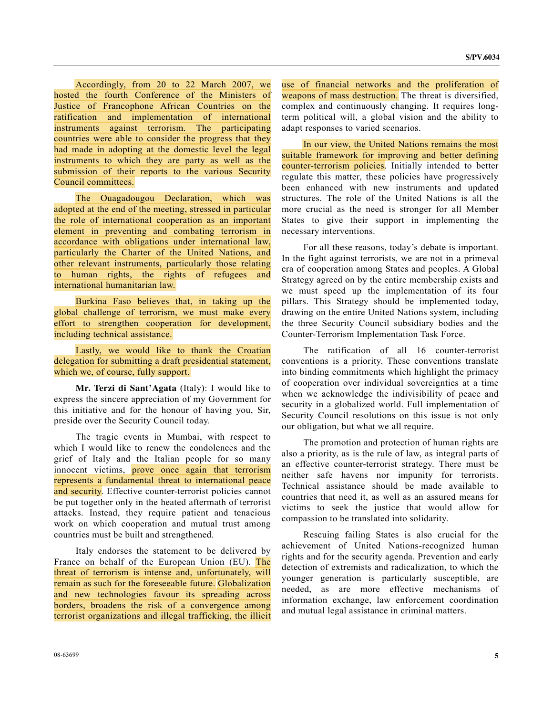Accordingly, from 20 to 22 March 2007, we hosted the fourth Conference of the Ministers of Justice of Francophone African Countries on the ratification and implementation of international instruments against terrorism. The participating countries were able to consider the progress that they had made in adopting at the domestic level the legal instruments to which they are party as well as the submission of their reports to the various Security Council committees.

 The Ouagadougou Declaration, which was adopted at the end of the meeting, stressed in particular the role of international cooperation as an important element in preventing and combating terrorism in accordance with obligations under international law, particularly the Charter of the United Nations, and other relevant instruments, particularly those relating to human rights, the rights of refugees and international humanitarian law.

 Burkina Faso believes that, in taking up the global challenge of terrorism, we must make every effort to strengthen cooperation for development, including technical assistance.

 Lastly, we would like to thank the Croatian delegation for submitting a draft presidential statement, which we, of course, fully support.

**Mr. Terzi di Sant'Agata** (Italy): I would like to express the sincere appreciation of my Government for this initiative and for the honour of having you, Sir, preside over the Security Council today.

 The tragic events in Mumbai, with respect to which I would like to renew the condolences and the grief of Italy and the Italian people for so many innocent victims, prove once again that terrorism represents a fundamental threat to international peace and security. Effective counter-terrorist policies cannot be put together only in the heated aftermath of terrorist attacks. Instead, they require patient and tenacious work on which cooperation and mutual trust among countries must be built and strengthened.

 Italy endorses the statement to be delivered by France on behalf of the European Union (EU). The threat of terrorism is intense and, unfortunately, will remain as such for the foreseeable future. Globalization and new technologies favour its spreading across borders, broadens the risk of a convergence among terrorist organizations and illegal trafficking, the illicit use of financial networks and the proliferation of weapons of mass destruction. The threat is diversified, complex and continuously changing. It requires longterm political will, a global vision and the ability to adapt responses to varied scenarios.

 In our view, the United Nations remains the most suitable framework for improving and better defining counter-terrorism policies. Initially intended to better regulate this matter, these policies have progressively been enhanced with new instruments and updated structures. The role of the United Nations is all the more crucial as the need is stronger for all Member States to give their support in implementing the necessary interventions.

 For all these reasons, today's debate is important. In the fight against terrorists, we are not in a primeval era of cooperation among States and peoples. A Global Strategy agreed on by the entire membership exists and we must speed up the implementation of its four pillars. This Strategy should be implemented today, drawing on the entire United Nations system, including the three Security Council subsidiary bodies and the Counter-Terrorism Implementation Task Force.

 The ratification of all 16 counter-terrorist conventions is a priority. These conventions translate into binding commitments which highlight the primacy of cooperation over individual sovereignties at a time when we acknowledge the indivisibility of peace and security in a globalized world. Full implementation of Security Council resolutions on this issue is not only our obligation, but what we all require.

 The promotion and protection of human rights are also a priority, as is the rule of law, as integral parts of an effective counter-terrorist strategy. There must be neither safe havens nor impunity for terrorists. Technical assistance should be made available to countries that need it, as well as an assured means for victims to seek the justice that would allow for compassion to be translated into solidarity.

 Rescuing failing States is also crucial for the achievement of United Nations-recognized human rights and for the security agenda. Prevention and early detection of extremists and radicalization, to which the younger generation is particularly susceptible, are needed, as are more effective mechanisms of information exchange, law enforcement coordination and mutual legal assistance in criminal matters.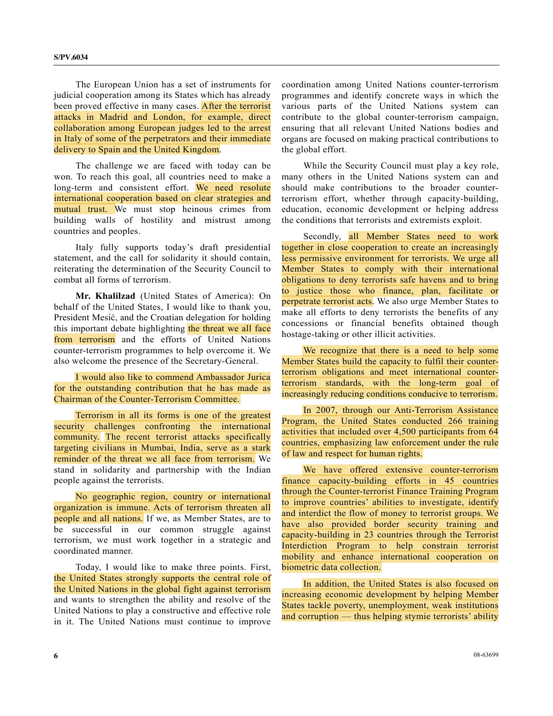The European Union has a set of instruments for judicial cooperation among its States which has already been proved effective in many cases. After the terrorist attacks in Madrid and London, for example, direct collaboration among European judges led to the arrest in Italy of some of the perpetrators and their immediate delivery to Spain and the United Kingdom.

 The challenge we are faced with today can be won. To reach this goal, all countries need to make a long-term and consistent effort. We need resolute international cooperation based on clear strategies and mutual trust. We must stop heinous crimes from building walls of hostility and mistrust among countries and peoples.

 Italy fully supports today's draft presidential statement, and the call for solidarity it should contain, reiterating the determination of the Security Council to combat all forms of terrorism.

**Mr. Khalilzad** (United States of America): On behalf of the United States, I would like to thank you, President Mesić, and the Croatian delegation for holding this important debate highlighting the threat we all face from terrorism and the efforts of United Nations counter-terrorism programmes to help overcome it. We also welcome the presence of the Secretary-General.

 I would also like to commend Ambassador Jurica for the outstanding contribution that he has made as Chairman of the Counter-Terrorism Committee.

 Terrorism in all its forms is one of the greatest security challenges confronting the international community. The recent terrorist attacks specifically targeting civilians in Mumbai, India, serve as a stark reminder of the threat we all face from terrorism. We stand in solidarity and partnership with the Indian people against the terrorists.

 No geographic region, country or international organization is immune. Acts of terrorism threaten all people and all nations. If we, as Member States, are to be successful in our common struggle against terrorism, we must work together in a strategic and coordinated manner.

 Today, I would like to make three points. First, the United States strongly supports the central role of the United Nations in the global fight against terrorism and wants to strengthen the ability and resolve of the United Nations to play a constructive and effective role in it. The United Nations must continue to improve

coordination among United Nations counter-terrorism programmes and identify concrete ways in which the various parts of the United Nations system can contribute to the global counter-terrorism campaign, ensuring that all relevant United Nations bodies and organs are focused on making practical contributions to the global effort.

 While the Security Council must play a key role, many others in the United Nations system can and should make contributions to the broader counterterrorism effort, whether through capacity-building, education, economic development or helping address the conditions that terrorists and extremists exploit.

Secondly, all Member States need to work together in close cooperation to create an increasingly less permissive environment for terrorists. We urge all Member States to comply with their international obligations to deny terrorists safe havens and to bring to justice those who finance, plan, facilitate or perpetrate terrorist acts. We also urge Member States to make all efforts to deny terrorists the benefits of any concessions or financial benefits obtained though hostage-taking or other illicit activities.

 We recognize that there is a need to help some Member States build the capacity to fulfil their counterterrorism obligations and meet international counterterrorism standards, with the long-term goal of increasingly reducing conditions conducive to terrorism.

 In 2007, through our Anti-Terrorism Assistance Program, the United States conducted 266 training activities that included over 4,500 participants from 64 countries, emphasizing law enforcement under the rule of law and respect for human rights.

 We have offered extensive counter-terrorism finance capacity-building efforts in 45 countries through the Counter-terrorist Finance Training Program to improve countries' abilities to investigate, identify and interdict the flow of money to terrorist groups. We have also provided border security training and capacity-building in 23 countries through the Terrorist Interdiction Program to help constrain terrorist mobility and enhance international cooperation on biometric data collection.

 In addition, the United States is also focused on increasing economic development by helping Member States tackle poverty, unemployment, weak institutions and corruption — thus helping stymie terrorists' ability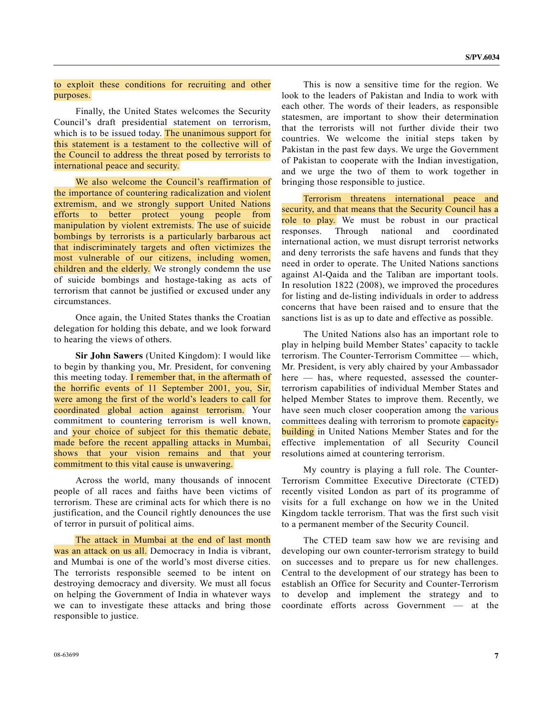#### to exploit these conditions for recruiting and other purposes.

 Finally, the United States welcomes the Security Council's draft presidential statement on terrorism, which is to be issued today. The unanimous support for this statement is a testament to the collective will of the Council to address the threat posed by terrorists to international peace and security.

 We also welcome the Council's reaffirmation of the importance of countering radicalization and violent extremism, and we strongly support United Nations efforts to better protect young people from manipulation by violent extremists. The use of suicide bombings by terrorists is a particularly barbarous act that indiscriminately targets and often victimizes the most vulnerable of our citizens, including women, children and the elderly. We strongly condemn the use of suicide bombings and hostage-taking as acts of terrorism that cannot be justified or excused under any circumstances.

 Once again, the United States thanks the Croatian delegation for holding this debate, and we look forward to hearing the views of others.

**Sir John Sawers** (United Kingdom): I would like to begin by thanking you, Mr. President, for convening this meeting today. I remember that, in the aftermath of the horrific events of 11 September 2001, you, Sir, were among the first of the world's leaders to call for coordinated global action against terrorism. Your commitment to countering terrorism is well known, and your choice of subject for this thematic debate, made before the recent appalling attacks in Mumbai, shows that your vision remains and that your commitment to this vital cause is unwavering.

 Across the world, many thousands of innocent people of all races and faiths have been victims of terrorism. These are criminal acts for which there is no justification, and the Council rightly denounces the use of terror in pursuit of political aims.

 The attack in Mumbai at the end of last month was an attack on us all. Democracy in India is vibrant, and Mumbai is one of the world's most diverse cities. The terrorists responsible seemed to be intent on destroying democracy and diversity. We must all focus on helping the Government of India in whatever ways we can to investigate these attacks and bring those responsible to justice.

 This is now a sensitive time for the region. We look to the leaders of Pakistan and India to work with each other. The words of their leaders, as responsible statesmen, are important to show their determination that the terrorists will not further divide their two countries. We welcome the initial steps taken by Pakistan in the past few days. We urge the Government of Pakistan to cooperate with the Indian investigation, and we urge the two of them to work together in bringing those responsible to justice.

 Terrorism threatens international peace and security, and that means that the Security Council has a role to play. We must be robust in our practical responses. Through national and coordinated international action, we must disrupt terrorist networks and deny terrorists the safe havens and funds that they need in order to operate. The United Nations sanctions against Al-Qaida and the Taliban are important tools. In resolution 1822 (2008), we improved the procedures for listing and de-listing individuals in order to address concerns that have been raised and to ensure that the sanctions list is as up to date and effective as possible.

 The United Nations also has an important role to play in helping build Member States' capacity to tackle terrorism. The Counter-Terrorism Committee — which, Mr. President, is very ably chaired by your Ambassador here — has, where requested, assessed the counterterrorism capabilities of individual Member States and helped Member States to improve them. Recently, we have seen much closer cooperation among the various committees dealing with terrorism to promote capacity**building** in United Nations Member States and for the effective implementation of all Security Council resolutions aimed at countering terrorism.

 My country is playing a full role. The Counter-Terrorism Committee Executive Directorate (CTED) recently visited London as part of its programme of visits for a full exchange on how we in the United Kingdom tackle terrorism. That was the first such visit to a permanent member of the Security Council.

 The CTED team saw how we are revising and developing our own counter-terrorism strategy to build on successes and to prepare us for new challenges. Central to the development of our strategy has been to establish an Office for Security and Counter-Terrorism to develop and implement the strategy and to coordinate efforts across Government — at the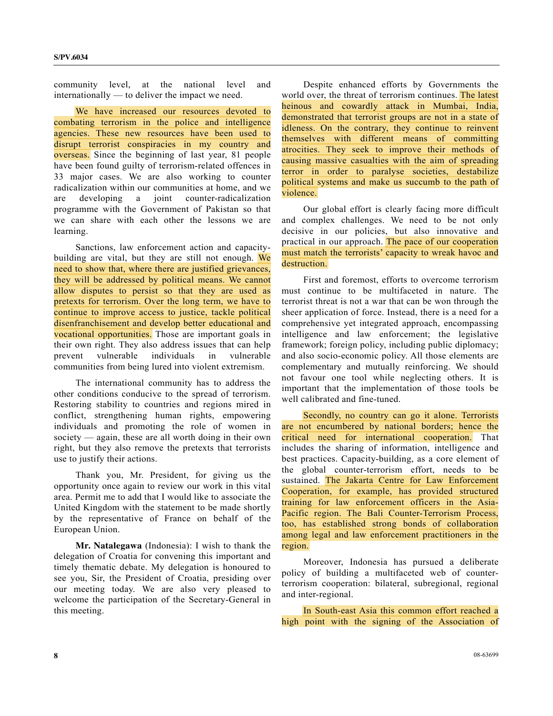community level, at the national level and internationally — to deliver the impact we need.

 We have increased our resources devoted to combating terrorism in the police and intelligence agencies. These new resources have been used to disrupt terrorist conspiracies in my country and overseas. Since the beginning of last year, 81 people have been found guilty of terrorism-related offences in 33 major cases. We are also working to counter radicalization within our communities at home, and we are developing a joint counter-radicalization programme with the Government of Pakistan so that we can share with each other the lessons we are learning.

 Sanctions, law enforcement action and capacitybuilding are vital, but they are still not enough. We need to show that, where there are justified grievances, they will be addressed by political means. We cannot allow disputes to persist so that they are used as pretexts for terrorism. Over the long term, we have to continue to improve access to justice, tackle political disenfranchisement and develop better educational and vocational opportunities. Those are important goals in their own right. They also address issues that can help prevent vulnerable individuals in vulnerable communities from being lured into violent extremism.

 The international community has to address the other conditions conducive to the spread of terrorism. Restoring stability to countries and regions mired in conflict, strengthening human rights, empowering individuals and promoting the role of women in society — again, these are all worth doing in their own right, but they also remove the pretexts that terrorists use to justify their actions.

 Thank you, Mr. President, for giving us the opportunity once again to review our work in this vital area. Permit me to add that I would like to associate the United Kingdom with the statement to be made shortly by the representative of France on behalf of the European Union.

**Mr. Natalegawa** (Indonesia): I wish to thank the delegation of Croatia for convening this important and timely thematic debate. My delegation is honoured to see you, Sir, the President of Croatia, presiding over our meeting today. We are also very pleased to welcome the participation of the Secretary-General in this meeting.

 Despite enhanced efforts by Governments the world over, the threat of terrorism continues. The latest heinous and cowardly attack in Mumbai, India, demonstrated that terrorist groups are not in a state of idleness. On the contrary, they continue to reinvent themselves with different means of committing atrocities. They seek to improve their methods of causing massive casualties with the aim of spreading terror in order to paralyse societies, destabilize political systems and make us succumb to the path of violence.

 Our global effort is clearly facing more difficult and complex challenges. We need to be not only decisive in our policies, but also innovative and practical in our approach. The pace of our cooperation must match the terrorists' capacity to wreak havoc and destruction.

 First and foremost, efforts to overcome terrorism must continue to be multifaceted in nature. The terrorist threat is not a war that can be won through the sheer application of force. Instead, there is a need for a comprehensive yet integrated approach, encompassing intelligence and law enforcement; the legislative framework; foreign policy, including public diplomacy; and also socio-economic policy. All those elements are complementary and mutually reinforcing. We should not favour one tool while neglecting others. It is important that the implementation of those tools be well calibrated and fine-tuned.

 Secondly, no country can go it alone. Terrorists are not encumbered by national borders; hence the critical need for international cooperation. That includes the sharing of information, intelligence and best practices. Capacity-building, as a core element of the global counter-terrorism effort, needs to be sustained. The Jakarta Centre for Law Enforcement Cooperation, for example, has provided structured training for law enforcement officers in the Asia-Pacific region. The Bali Counter-Terrorism Process, too, has established strong bonds of collaboration among legal and law enforcement practitioners in the region.

 Moreover, Indonesia has pursued a deliberate policy of building a multifaceted web of counterterrorism cooperation: bilateral, subregional, regional and inter-regional.

 In South-east Asia this common effort reached a high point with the signing of the Association of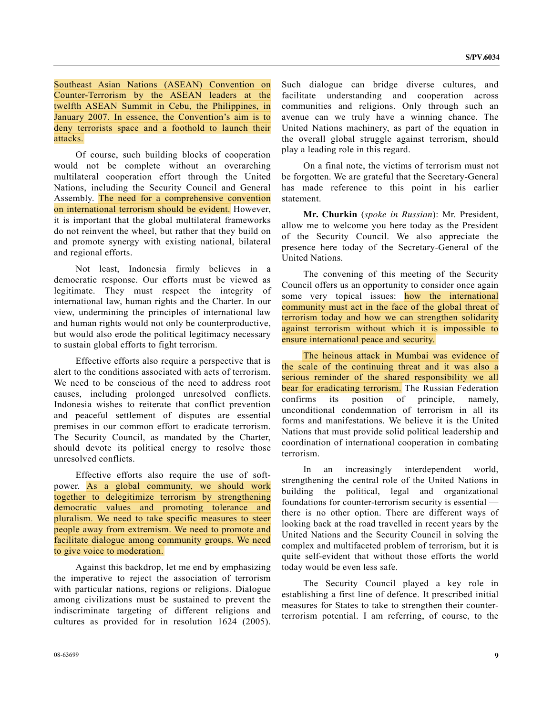Southeast Asian Nations (ASEAN) Convention on Counter-Terrorism by the ASEAN leaders at the twelfth ASEAN Summit in Cebu, the Philippines, in January 2007. In essence, the Convention's aim is to deny terrorists space and a foothold to launch their attacks.

 Of course, such building blocks of cooperation would not be complete without an overarching multilateral cooperation effort through the United Nations, including the Security Council and General Assembly. The need for a comprehensive convention on international terrorism should be evident. However, it is important that the global multilateral frameworks do not reinvent the wheel, but rather that they build on and promote synergy with existing national, bilateral and regional efforts.

 Not least, Indonesia firmly believes in a democratic response. Our efforts must be viewed as legitimate. They must respect the integrity of international law, human rights and the Charter. In our view, undermining the principles of international law and human rights would not only be counterproductive, but would also erode the political legitimacy necessary to sustain global efforts to fight terrorism.

 Effective efforts also require a perspective that is alert to the conditions associated with acts of terrorism. We need to be conscious of the need to address root causes, including prolonged unresolved conflicts. Indonesia wishes to reiterate that conflict prevention and peaceful settlement of disputes are essential premises in our common effort to eradicate terrorism. The Security Council, as mandated by the Charter, should devote its political energy to resolve those unresolved conflicts.

 Effective efforts also require the use of softpower. As a global community, we should work together to delegitimize terrorism by strengthening democratic values and promoting tolerance and pluralism. We need to take specific measures to steer people away from extremism. We need to promote and facilitate dialogue among community groups. We need to give voice to moderation.

 Against this backdrop, let me end by emphasizing the imperative to reject the association of terrorism with particular nations, regions or religions. Dialogue among civilizations must be sustained to prevent the indiscriminate targeting of different religions and cultures as provided for in resolution 1624 (2005).

Such dialogue can bridge diverse cultures, and facilitate understanding and cooperation across communities and religions. Only through such an avenue can we truly have a winning chance. The United Nations machinery, as part of the equation in the overall global struggle against terrorism, should play a leading role in this regard.

 On a final note, the victims of terrorism must not be forgotten. We are grateful that the Secretary-General has made reference to this point in his earlier statement.

 **Mr. Churkin** (*spoke in Russian*): Mr. President, allow me to welcome you here today as the President of the Security Council. We also appreciate the presence here today of the Secretary-General of the United Nations.

 The convening of this meeting of the Security Council offers us an opportunity to consider once again some very topical issues: how the international community must act in the face of the global threat of terrorism today and how we can strengthen solidarity against terrorism without which it is impossible to ensure international peace and security.

 The heinous attack in Mumbai was evidence of the scale of the continuing threat and it was also a serious reminder of the shared responsibility we all bear for eradicating terrorism. The Russian Federation confirms its position of principle, namely, unconditional condemnation of terrorism in all its forms and manifestations. We believe it is the United Nations that must provide solid political leadership and coordination of international cooperation in combating terrorism.

 In an increasingly interdependent world, strengthening the central role of the United Nations in building the political, legal and organizational foundations for counter-terrorism security is essential there is no other option. There are different ways of looking back at the road travelled in recent years by the United Nations and the Security Council in solving the complex and multifaceted problem of terrorism, but it is quite self-evident that without those efforts the world today would be even less safe.

 The Security Council played a key role in establishing a first line of defence. It prescribed initial measures for States to take to strengthen their counterterrorism potential. I am referring, of course, to the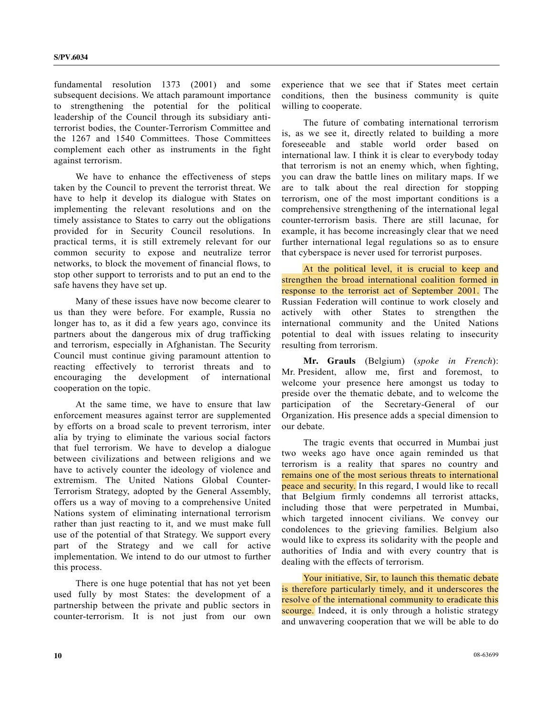fundamental resolution 1373 (2001) and some subsequent decisions. We attach paramount importance to strengthening the potential for the political leadership of the Council through its subsidiary antiterrorist bodies, the Counter-Terrorism Committee and the 1267 and 1540 Committees. Those Committees complement each other as instruments in the fight against terrorism.

We have to enhance the effectiveness of steps taken by the Council to prevent the terrorist threat. We have to help it develop its dialogue with States on implementing the relevant resolutions and on the timely assistance to States to carry out the obligations provided for in Security Council resolutions. In practical terms, it is still extremely relevant for our common security to expose and neutralize terror networks, to block the movement of financial flows, to stop other support to terrorists and to put an end to the safe havens they have set up.

 Many of these issues have now become clearer to us than they were before. For example, Russia no longer has to, as it did a few years ago, convince its partners about the dangerous mix of drug trafficking and terrorism, especially in Afghanistan. The Security Council must continue giving paramount attention to reacting effectively to terrorist threats and to encouraging the development of international cooperation on the topic.

 At the same time, we have to ensure that law enforcement measures against terror are supplemented by efforts on a broad scale to prevent terrorism, inter alia by trying to eliminate the various social factors that fuel terrorism. We have to develop a dialogue between civilizations and between religions and we have to actively counter the ideology of violence and extremism. The United Nations Global Counter-Terrorism Strategy, adopted by the General Assembly, offers us a way of moving to a comprehensive United Nations system of eliminating international terrorism rather than just reacting to it, and we must make full use of the potential of that Strategy. We support every part of the Strategy and we call for active implementation. We intend to do our utmost to further this process.

 There is one huge potential that has not yet been used fully by most States: the development of a partnership between the private and public sectors in counter-terrorism. It is not just from our own

experience that we see that if States meet certain conditions, then the business community is quite willing to cooperate.

 The future of combating international terrorism is, as we see it, directly related to building a more foreseeable and stable world order based on international law. I think it is clear to everybody today that terrorism is not an enemy which, when fighting, you can draw the battle lines on military maps. If we are to talk about the real direction for stopping terrorism, one of the most important conditions is a comprehensive strengthening of the international legal counter-terrorism basis. There are still lacunae, for example, it has become increasingly clear that we need further international legal regulations so as to ensure that cyberspace is never used for terrorist purposes.

 At the political level, it is crucial to keep and strengthen the broad international coalition formed in response to the terrorist act of September 2001. The Russian Federation will continue to work closely and actively with other States to strengthen the international community and the United Nations potential to deal with issues relating to insecurity resulting from terrorism.

 **Mr. Grauls** (Belgium) (*spoke in French*): Mr. President, allow me, first and foremost, to welcome your presence here amongst us today to preside over the thematic debate, and to welcome the participation of the Secretary-General of our Organization. His presence adds a special dimension to our debate.

 The tragic events that occurred in Mumbai just two weeks ago have once again reminded us that terrorism is a reality that spares no country and remains one of the most serious threats to international peace and security. In this regard, I would like to recall that Belgium firmly condemns all terrorist attacks, including those that were perpetrated in Mumbai, which targeted innocent civilians. We convey our condolences to the grieving families. Belgium also would like to express its solidarity with the people and authorities of India and with every country that is dealing with the effects of terrorism.

 Your initiative, Sir, to launch this thematic debate is therefore particularly timely, and it underscores the resolve of the international community to eradicate this scourge. Indeed, it is only through a holistic strategy and unwavering cooperation that we will be able to do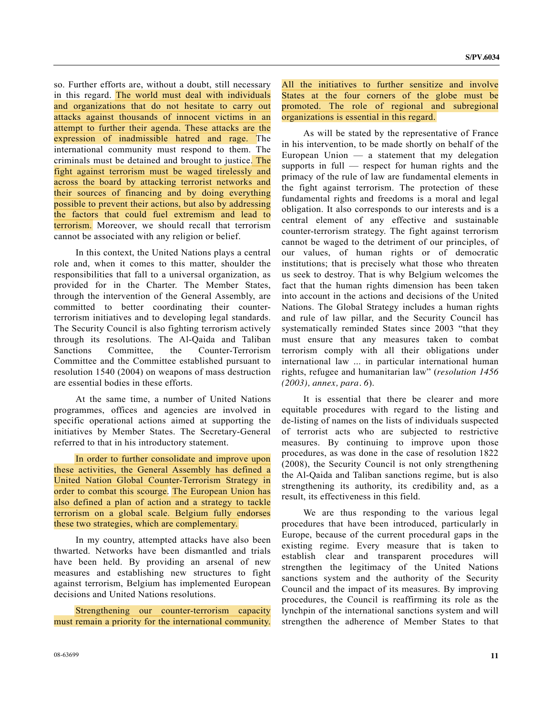so. Further efforts are, without a doubt, still necessary in this regard. The world must deal with individuals and organizations that do not hesitate to carry out attacks against thousands of innocent victims in an attempt to further their agenda. These attacks are the expression of inadmissible hatred and rage. The international community must respond to them. The criminals must be detained and brought to justice. The fight against terrorism must be waged tirelessly and across the board by attacking terrorist networks and their sources of financing and by doing everything possible to prevent their actions, but also by addressing the factors that could fuel extremism and lead to terrorism. Moreover, we should recall that terrorism cannot be associated with any religion or belief.

 In this context, the United Nations plays a central role and, when it comes to this matter, shoulder the responsibilities that fall to a universal organization, as provided for in the Charter. The Member States, through the intervention of the General Assembly, are committed to better coordinating their counterterrorism initiatives and to developing legal standards. The Security Council is also fighting terrorism actively through its resolutions. The Al-Qaida and Taliban Sanctions Committee, the Counter-Terrorism Committee and the Committee established pursuant to resolution 1540 (2004) on weapons of mass destruction are essential bodies in these efforts.

 At the same time, a number of United Nations programmes, offices and agencies are involved in specific operational actions aimed at supporting the initiatives by Member States. The Secretary-General referred to that in his introductory statement.

 In order to further consolidate and improve upon these activities, the General Assembly has defined a United Nation Global Counter-Terrorism Strategy in order to combat this scourge. The European Union has also defined a plan of action and a strategy to tackle terrorism on a global scale. Belgium fully endorses these two strategies, which are complementary.

 In my country, attempted attacks have also been thwarted. Networks have been dismantled and trials have been held. By providing an arsenal of new measures and establishing new structures to fight against terrorism, Belgium has implemented European decisions and United Nations resolutions.

 Strengthening our counter-terrorism capacity must remain a priority for the international community.

 As will be stated by the representative of France in his intervention, to be made shortly on behalf of the European Union  $\frac{1}{x}$  a statement that my delegation supports in full — respect for human rights and the primacy of the rule of law are fundamental elements in the fight against terrorism. The protection of these fundamental rights and freedoms is a moral and legal obligation. It also corresponds to our interests and is a central element of any effective and sustainable counter-terrorism strategy. The fight against terrorism cannot be waged to the detriment of our principles, of our values, of human rights or of democratic institutions; that is precisely what those who threaten us seek to destroy. That is why Belgium welcomes the fact that the human rights dimension has been taken into account in the actions and decisions of the United Nations. The Global Strategy includes a human rights and rule of law pillar, and the Security Council has systematically reminded States since 2003 "that they must ensure that any measures taken to combat terrorism comply with all their obligations under international law ... in particular international human rights, refugee and humanitarian law" (*resolution 1456 (2003), annex, para. 6*).

 It is essential that there be clearer and more equitable procedures with regard to the listing and de-listing of names on the lists of individuals suspected of terrorist acts who are subjected to restrictive measures. By continuing to improve upon those procedures, as was done in the case of resolution 1822 (2008), the Security Council is not only strengthening the Al-Qaida and Taliban sanctions regime, but is also strengthening its authority, its credibility and, as a result, its effectiveness in this field.

 We are thus responding to the various legal procedures that have been introduced, particularly in Europe, because of the current procedural gaps in the existing regime. Every measure that is taken to establish clear and transparent procedures will strengthen the legitimacy of the United Nations sanctions system and the authority of the Security Council and the impact of its measures. By improving procedures, the Council is reaffirming its role as the lynchpin of the international sanctions system and will strengthen the adherence of Member States to that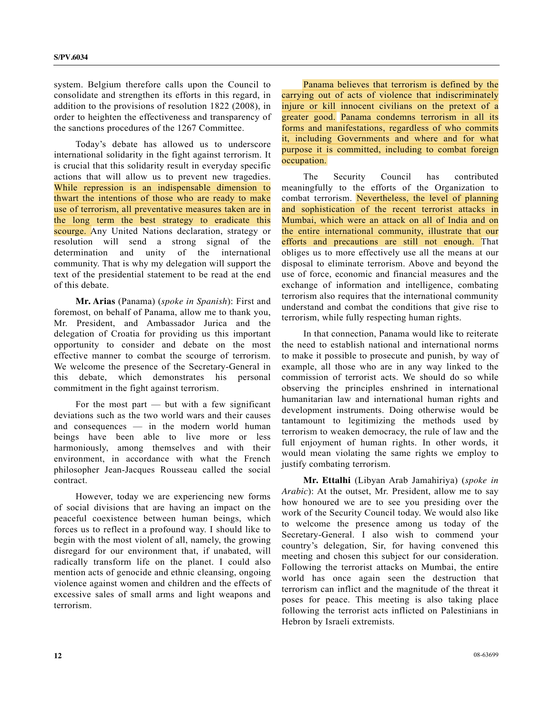system. Belgium therefore calls upon the Council to consolidate and strengthen its efforts in this regard, in addition to the provisions of resolution 1822 (2008), in order to heighten the effectiveness and transparency of the sanctions procedures of the 1267 Committee.

 Today's debate has allowed us to underscore international solidarity in the fight against terrorism. It is crucial that this solidarity result in everyday specific actions that will allow us to prevent new tragedies. While repression is an indispensable dimension to thwart the intentions of those who are ready to make use of terrorism, all preventative measures taken are in the long term the best strategy to eradicate this scourge. Any United Nations declaration, strategy or resolution will send a strong signal of the determination and unity of the international community. That is why my delegation will support the text of the presidential statement to be read at the end of this debate.

**Mr. Arias** (Panama) (*spoke in Spanish*): First and foremost, on behalf of Panama, allow me to thank you, Mr. President, and Ambassador Jurica and the delegation of Croatia for providing us this important opportunity to consider and debate on the most effective manner to combat the scourge of terrorism. We welcome the presence of the Secretary-General in this debate, which demonstrates his personal commitment in the fight against terrorism.

For the most part  $-$  but with a few significant deviations such as the two world wars and their causes and consequences — in the modern world human beings have been able to live more or less harmoniously, among themselves and with their environment, in accordance with what the French philosopher Jean-Jacques Rousseau called the social contract.

 However, today we are experiencing new forms of social divisions that are having an impact on the peaceful coexistence between human beings, which forces us to reflect in a profound way. I should like to begin with the most violent of all, namely, the growing disregard for our environment that, if unabated, will radically transform life on the planet. I could also mention acts of genocide and ethnic cleansing, ongoing violence against women and children and the effects of excessive sales of small arms and light weapons and terrorism.

 Panama believes that terrorism is defined by the carrying out of acts of violence that indiscriminately injure or kill innocent civilians on the pretext of a greater good. Panama condemns terrorism in all its forms and manifestations, regardless of who commits it, including Governments and where and for what purpose it is committed, including to combat foreign occupation.

 The Security Council has contributed meaningfully to the efforts of the Organization to combat terrorism. Nevertheless, the level of planning and sophistication of the recent terrorist attacks in Mumbai, which were an attack on all of India and on the entire international community, illustrate that our efforts and precautions are still not enough. That obliges us to more effectively use all the means at our disposal to eliminate terrorism. Above and beyond the use of force, economic and financial measures and the exchange of information and intelligence, combating terrorism also requires that the international community understand and combat the conditions that give rise to terrorism, while fully respecting human rights.

 In that connection, Panama would like to reiterate the need to establish national and international norms to make it possible to prosecute and punish, by way of example, all those who are in any way linked to the commission of terrorist acts. We should do so while observing the principles enshrined in international humanitarian law and international human rights and development instruments. Doing otherwise would be tantamount to legitimizing the methods used by terrorism to weaken democracy, the rule of law and the full enjoyment of human rights. In other words, it would mean violating the same rights we employ to justify combating terrorism.

**Mr. Ettalhi** (Libyan Arab Jamahiriya) (*spoke in Arabic*): At the outset, Mr. President, allow me to say how honoured we are to see you presiding over the work of the Security Council today. We would also like to welcome the presence among us today of the Secretary-General. I also wish to commend your country's delegation, Sir, for having convened this meeting and chosen this subject for our consideration. Following the terrorist attacks on Mumbai, the entire world has once again seen the destruction that terrorism can inflict and the magnitude of the threat it poses for peace. This meeting is also taking place following the terrorist acts inflicted on Palestinians in Hebron by Israeli extremists.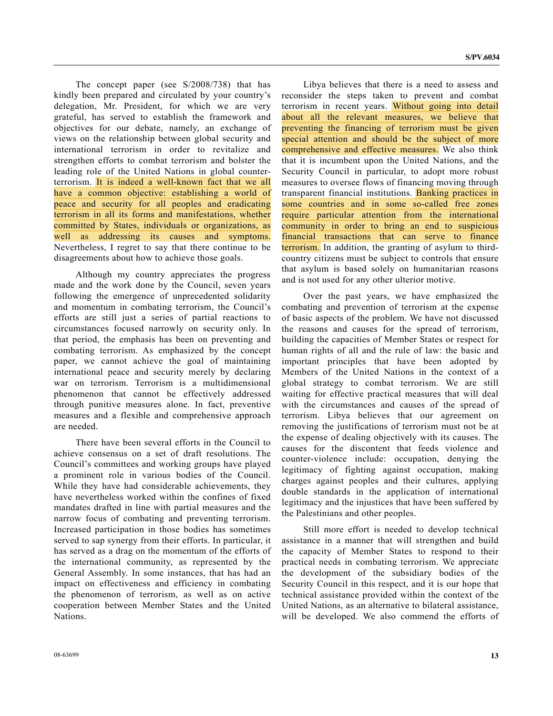The concept paper (see S/2008/738) that has kindly been prepared and circulated by your country's delegation, Mr. President, for which we are very grateful, has served to establish the framework and objectives for our debate, namely, an exchange of views on the relationship between global security and international terrorism in order to revitalize and strengthen efforts to combat terrorism and bolster the leading role of the United Nations in global counterterrorism. It is indeed a well-known fact that we all have a common objective: establishing a world of peace and security for all peoples and eradicating terrorism in all its forms and manifestations, whether committed by States, individuals or organizations, as well as addressing its causes and symptoms. Nevertheless, I regret to say that there continue to be disagreements about how to achieve those goals.

 Although my country appreciates the progress made and the work done by the Council, seven years following the emergence of unprecedented solidarity and momentum in combating terrorism, the Council's efforts are still just a series of partial reactions to circumstances focused narrowly on security only. In that period, the emphasis has been on preventing and combating terrorism. As emphasized by the concept paper, we cannot achieve the goal of maintaining international peace and security merely by declaring war on terrorism. Terrorism is a multidimensional phenomenon that cannot be effectively addressed through punitive measures alone. In fact, preventive measures and a flexible and comprehensive approach are needed.

 There have been several efforts in the Council to achieve consensus on a set of draft resolutions. The Council's committees and working groups have played a prominent role in various bodies of the Council. While they have had considerable achievements, they have nevertheless worked within the confines of fixed mandates drafted in line with partial measures and the narrow focus of combating and preventing terrorism. Increased participation in those bodies has sometimes served to sap synergy from their efforts. In particular, it has served as a drag on the momentum of the efforts of the international community, as represented by the General Assembly. In some instances, that has had an impact on effectiveness and efficiency in combating the phenomenon of terrorism, as well as on active cooperation between Member States and the United Nations.

 Libya believes that there is a need to assess and reconsider the steps taken to prevent and combat terrorism in recent years. Without going into detail about all the relevant measures, we believe that preventing the financing of terrorism must be given special attention and should be the subject of more comprehensive and effective measures. We also think that it is incumbent upon the United Nations, and the Security Council in particular, to adopt more robust measures to oversee flows of financing moving through transparent financial institutions. Banking practices in some countries and in some so-called free zones require particular attention from the international community in order to bring an end to suspicious financial transactions that can serve to finance terrorism. In addition, the granting of asylum to thirdcountry citizens must be subject to controls that ensure that asylum is based solely on humanitarian reasons and is not used for any other ulterior motive.

 Over the past years, we have emphasized the combating and prevention of terrorism at the expense of basic aspects of the problem. We have not discussed the reasons and causes for the spread of terrorism, building the capacities of Member States or respect for human rights of all and the rule of law: the basic and important principles that have been adopted by Members of the United Nations in the context of a global strategy to combat terrorism. We are still waiting for effective practical measures that will deal with the circumstances and causes of the spread of terrorism. Libya believes that our agreement on removing the justifications of terrorism must not be at the expense of dealing objectively with its causes. The causes for the discontent that feeds violence and counter-violence include: occupation, denying the legitimacy of fighting against occupation, making charges against peoples and their cultures, applying double standards in the application of international legitimacy and the injustices that have been suffered by the Palestinians and other peoples.

 Still more effort is needed to develop technical assistance in a manner that will strengthen and build the capacity of Member States to respond to their practical needs in combating terrorism. We appreciate the development of the subsidiary bodies of the Security Council in this respect, and it is our hope that technical assistance provided within the context of the United Nations, as an alternative to bilateral assistance, will be developed. We also commend the efforts of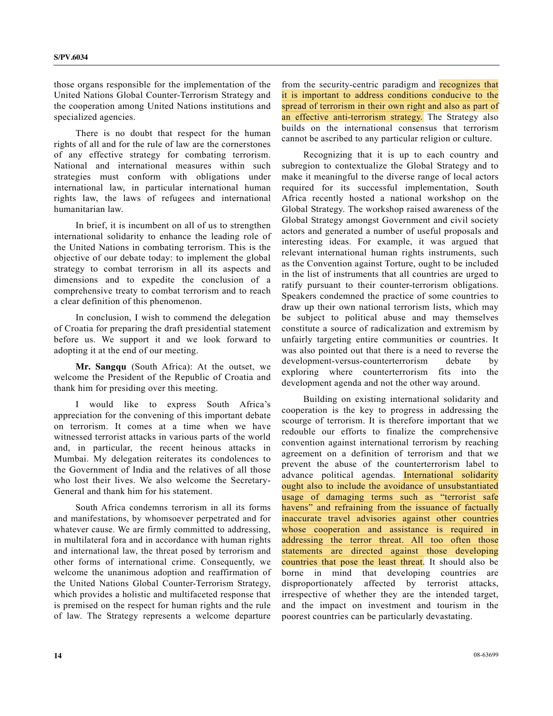those organs responsible for the implementation of the United Nations Global Counter-Terrorism Strategy and the cooperation among United Nations institutions and specialized agencies.

 There is no doubt that respect for the human rights of all and for the rule of law are the cornerstones of any effective strategy for combating terrorism. National and international measures within such strategies must conform with obligations under international law, in particular international human rights law, the laws of refugees and international humanitarian law.

 In brief, it is incumbent on all of us to strengthen international solidarity to enhance the leading role of the United Nations in combating terrorism. This is the objective of our debate today: to implement the global strategy to combat terrorism in all its aspects and dimensions and to expedite the conclusion of a comprehensive treaty to combat terrorism and to reach a clear definition of this phenomenon.

 In conclusion, I wish to commend the delegation of Croatia for preparing the draft presidential statement before us. We support it and we look forward to adopting it at the end of our meeting.

**Mr. Sangqu** (South Africa): At the outset, we welcome the President of the Republic of Croatia and thank him for presiding over this meeting.

 I would like to express South Africa's appreciation for the convening of this important debate on terrorism. It comes at a time when we have witnessed terrorist attacks in various parts of the world and, in particular, the recent heinous attacks in Mumbai. My delegation reiterates its condolences to the Government of India and the relatives of all those who lost their lives. We also welcome the Secretary-General and thank him for his statement.

 South Africa condemns terrorism in all its forms and manifestations, by whomsoever perpetrated and for whatever cause. We are firmly committed to addressing, in multilateral fora and in accordance with human rights and international law, the threat posed by terrorism and other forms of international crime. Consequently, we welcome the unanimous adoption and reaffirmation of the United Nations Global Counter-Terrorism Strategy, which provides a holistic and multifaceted response that is premised on the respect for human rights and the rule of law. The Strategy represents a welcome departure

from the security-centric paradigm and recognizes that it is important to address conditions conducive to the spread of terrorism in their own right and also as part of an effective anti-terrorism strategy. The Strategy also builds on the international consensus that terrorism cannot be ascribed to any particular religion or culture.

 Recognizing that it is up to each country and subregion to contextualize the Global Strategy and to make it meaningful to the diverse range of local actors required for its successful implementation, South Africa recently hosted a national workshop on the Global Strategy. The workshop raised awareness of the Global Strategy amongst Government and civil society actors and generated a number of useful proposals and interesting ideas. For example, it was argued that relevant international human rights instruments, such as the Convention against Torture, ought to be included in the list of instruments that all countries are urged to ratify pursuant to their counter-terrorism obligations. Speakers condemned the practice of some countries to draw up their own national terrorism lists, which may be subject to political abuse and may themselves constitute a source of radicalization and extremism by unfairly targeting entire communities or countries. It was also pointed out that there is a need to reverse the development-versus-counterterrorism debate by exploring where counterterrorism fits into the development agenda and not the other way around.

 Building on existing international solidarity and cooperation is the key to progress in addressing the scourge of terrorism. It is therefore important that we redouble our efforts to finalize the comprehensive convention against international terrorism by reaching agreement on a definition of terrorism and that we prevent the abuse of the counterterrorism label to advance political agendas. International solidarity ought also to include the avoidance of unsubstantiated usage of damaging terms such as "terrorist safe havens" and refraining from the issuance of factually inaccurate travel advisories against other countries whose cooperation and assistance is required in addressing the terror threat. All too often those statements are directed against those developing countries that pose the least threat. It should also be borne in mind that developing countries are disproportionately affected by terrorist attacks, irrespective of whether they are the intended target, and the impact on investment and tourism in the poorest countries can be particularly devastating.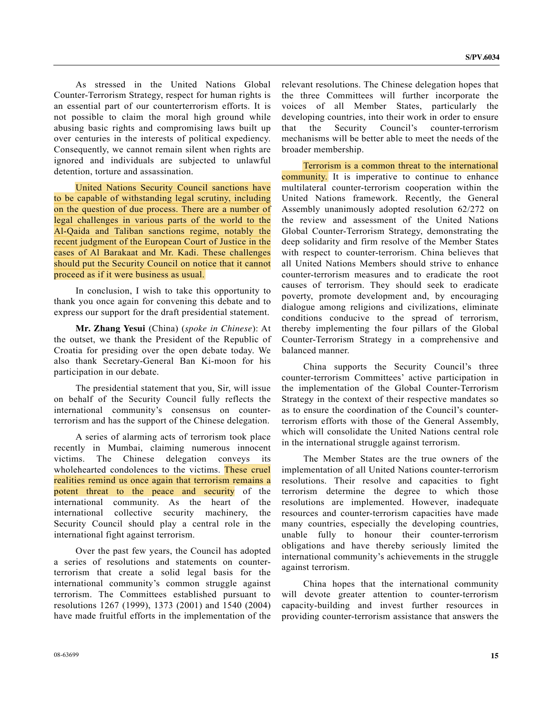As stressed in the United Nations Global Counter-Terrorism Strategy, respect for human rights is an essential part of our counterterrorism efforts. It is not possible to claim the moral high ground while abusing basic rights and compromising laws built up over centuries in the interests of political expediency. Consequently, we cannot remain silent when rights are ignored and individuals are subjected to unlawful detention, torture and assassination.

 United Nations Security Council sanctions have to be capable of withstanding legal scrutiny, including on the question of due process. There are a number of legal challenges in various parts of the world to the Al-Qaida and Taliban sanctions regime, notably the recent judgment of the European Court of Justice in the cases of Al Barakaat and Mr. Kadi. These challenges should put the Security Council on notice that it cannot proceed as if it were business as usual.

 In conclusion, I wish to take this opportunity to thank you once again for convening this debate and to express our support for the draft presidential statement.

**Mr. Zhang Yesui** (China) (*spoke in Chinese*): At the outset, we thank the President of the Republic of Croatia for presiding over the open debate today. We also thank Secretary-General Ban Ki-moon for his participation in our debate.

 The presidential statement that you, Sir, will issue on behalf of the Security Council fully reflects the international community's consensus on counterterrorism and has the support of the Chinese delegation.

 A series of alarming acts of terrorism took place recently in Mumbai, claiming numerous innocent victims. The Chinese delegation conveys its wholehearted condolences to the victims. These cruel realities remind us once again that terrorism remains a potent threat to the peace and security of the international community. As the heart of the international collective security machinery, the Security Council should play a central role in the international fight against terrorism.

 Over the past few years, the Council has adopted a series of resolutions and statements on counterterrorism that create a solid legal basis for the international community's common struggle against terrorism. The Committees established pursuant to resolutions 1267 (1999), 1373 (2001) and 1540 (2004) have made fruitful efforts in the implementation of the relevant resolutions. The Chinese delegation hopes that the three Committees will further incorporate the voices of all Member States, particularly the developing countries, into their work in order to ensure that the Security Council's counter-terrorism mechanisms will be better able to meet the needs of the broader membership.

 Terrorism is a common threat to the international **community.** It is imperative to continue to enhance multilateral counter-terrorism cooperation within the United Nations framework. Recently, the General Assembly unanimously adopted resolution 62/272 on the review and assessment of the United Nations Global Counter-Terrorism Strategy, demonstrating the deep solidarity and firm resolve of the Member States with respect to counter-terrorism. China believes that all United Nations Members should strive to enhance counter-terrorism measures and to eradicate the root causes of terrorism. They should seek to eradicate poverty, promote development and, by encouraging dialogue among religions and civilizations, eliminate conditions conducive to the spread of terrorism, thereby implementing the four pillars of the Global Counter-Terrorism Strategy in a comprehensive and balanced manner.

 China supports the Security Council's three counter-terrorism Committees' active participation in the implementation of the Global Counter-Terrorism Strategy in the context of their respective mandates so as to ensure the coordination of the Council's counterterrorism efforts with those of the General Assembly, which will consolidate the United Nations central role in the international struggle against terrorism.

 The Member States are the true owners of the implementation of all United Nations counter-terrorism resolutions. Their resolve and capacities to fight terrorism determine the degree to which those resolutions are implemented. However, inadequate resources and counter-terrorism capacities have made many countries, especially the developing countries, unable fully to honour their counter-terrorism obligations and have thereby seriously limited the international community's achievements in the struggle against terrorism.

 China hopes that the international community will devote greater attention to counter-terrorism capacity-building and invest further resources in providing counter-terrorism assistance that answers the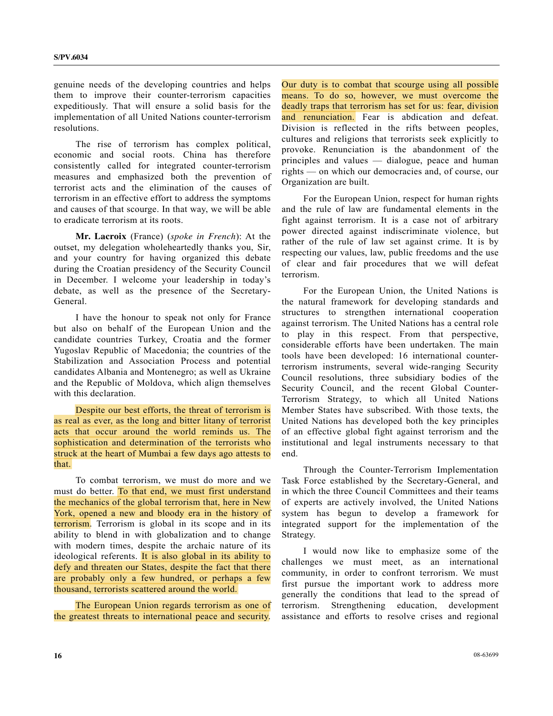genuine needs of the developing countries and helps them to improve their counter-terrorism capacities expeditiously. That will ensure a solid basis for the implementation of all United Nations counter-terrorism resolutions.

 The rise of terrorism has complex political, economic and social roots. China has therefore consistently called for integrated counter-terrorism measures and emphasized both the prevention of terrorist acts and the elimination of the causes of terrorism in an effective effort to address the symptoms and causes of that scourge. In that way, we will be able to eradicate terrorism at its roots.

**Mr. Lacroix** (France) (*spoke in French*): At the outset, my delegation wholeheartedly thanks you, Sir, and your country for having organized this debate during the Croatian presidency of the Security Council in December. I welcome your leadership in today's debate, as well as the presence of the Secretary-General.

 I have the honour to speak not only for France but also on behalf of the European Union and the candidate countries Turkey, Croatia and the former Yugoslav Republic of Macedonia; the countries of the Stabilization and Association Process and potential candidates Albania and Montenegro; as well as Ukraine and the Republic of Moldova, which align themselves with this declaration.

 Despite our best efforts, the threat of terrorism is as real as ever, as the long and bitter litany of terrorist acts that occur around the world reminds us. The sophistication and determination of the terrorists who struck at the heart of Mumbai a few days ago attests to that.

 To combat terrorism, we must do more and we must do better. To that end, we must first understand the mechanics of the global terrorism that, here in New York, opened a new and bloody era in the history of terrorism. Terrorism is global in its scope and in its ability to blend in with globalization and to change with modern times, despite the archaic nature of its ideological referents. It is also global in its ability to defy and threaten our States, despite the fact that there are probably only a few hundred, or perhaps a few thousand, terrorists scattered around the world.

 The European Union regards terrorism as one of the greatest threats to international peace and security.

Our duty is to combat that scourge using all possible means. To do so, however, we must overcome the deadly traps that terrorism has set for us: fear, division and renunciation. Fear is abdication and defeat. Division is reflected in the rifts between peoples, cultures and religions that terrorists seek explicitly to provoke. Renunciation is the abandonment of the principles and values — dialogue, peace and human rights — on which our democracies and, of course, our Organization are built.

 For the European Union, respect for human rights and the rule of law are fundamental elements in the fight against terrorism. It is a case not of arbitrary power directed against indiscriminate violence, but rather of the rule of law set against crime. It is by respecting our values, law, public freedoms and the use of clear and fair procedures that we will defeat terrorism.

 For the European Union, the United Nations is the natural framework for developing standards and structures to strengthen international cooperation against terrorism. The United Nations has a central role to play in this respect. From that perspective, considerable efforts have been undertaken. The main tools have been developed: 16 international counterterrorism instruments, several wide-ranging Security Council resolutions, three subsidiary bodies of the Security Council, and the recent Global Counter-Terrorism Strategy, to which all United Nations Member States have subscribed. With those texts, the United Nations has developed both the key principles of an effective global fight against terrorism and the institutional and legal instruments necessary to that end.

 Through the Counter-Terrorism Implementation Task Force established by the Secretary-General, and in which the three Council Committees and their teams of experts are actively involved, the United Nations system has begun to develop a framework for integrated support for the implementation of the Strategy.

 I would now like to emphasize some of the challenges we must meet, as an international community, in order to confront terrorism. We must first pursue the important work to address more generally the conditions that lead to the spread of terrorism. Strengthening education, development assistance and efforts to resolve crises and regional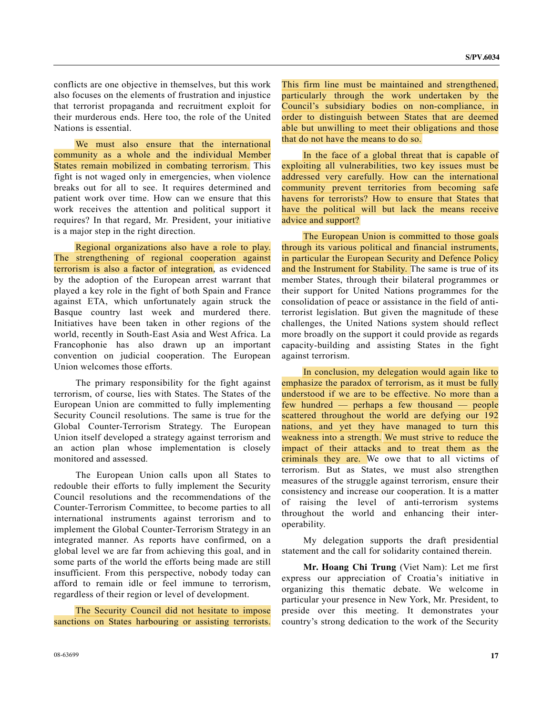conflicts are one objective in themselves, but this work also focuses on the elements of frustration and injustice that terrorist propaganda and recruitment exploit for their murderous ends. Here too, the role of the United Nations is essential.

 We must also ensure that the international community as a whole and the individual Member States remain mobilized in combating terrorism. This fight is not waged only in emergencies, when violence breaks out for all to see. It requires determined and patient work over time. How can we ensure that this work receives the attention and political support it requires? In that regard, Mr. President, your initiative is a major step in the right direction.

 Regional organizations also have a role to play. The strengthening of regional cooperation against terrorism is also a factor of integration, as evidenced by the adoption of the European arrest warrant that played a key role in the fight of both Spain and France against ETA, which unfortunately again struck the Basque country last week and murdered there. Initiatives have been taken in other regions of the world, recently in South-East Asia and West Africa. La Francophonie has also drawn up an important convention on judicial cooperation. The European Union welcomes those efforts.

 The primary responsibility for the fight against terrorism, of course, lies with States. The States of the European Union are committed to fully implementing Security Council resolutions. The same is true for the Global Counter-Terrorism Strategy. The European Union itself developed a strategy against terrorism and an action plan whose implementation is closely monitored and assessed.

 The European Union calls upon all States to redouble their efforts to fully implement the Security Council resolutions and the recommendations of the Counter-Terrorism Committee, to become parties to all international instruments against terrorism and to implement the Global Counter-Terrorism Strategy in an integrated manner. As reports have confirmed, on a global level we are far from achieving this goal, and in some parts of the world the efforts being made are still insufficient. From this perspective, nobody today can afford to remain idle or feel immune to terrorism, regardless of their region or level of development.

 The Security Council did not hesitate to impose sanctions on States harbouring or assisting terrorists.

 In the face of a global threat that is capable of exploiting all vulnerabilities, two key issues must be addressed very carefully. How can the international community prevent territories from becoming safe havens for terrorists? How to ensure that States that have the political will but lack the means receive advice and support?

 The European Union is committed to those goals through its various political and financial instruments, in particular the European Security and Defence Policy and the Instrument for Stability. The same is true of its member States, through their bilateral programmes or their support for United Nations programmes for the consolidation of peace or assistance in the field of antiterrorist legislation. But given the magnitude of these challenges, the United Nations system should reflect more broadly on the support it could provide as regards capacity-building and assisting States in the fight against terrorism.

 In conclusion, my delegation would again like to emphasize the paradox of terrorism, as it must be fully understood if we are to be effective. No more than a few hundred — perhaps a few thousand — people scattered throughout the world are defying our 192 nations, and yet they have managed to turn this weakness into a strength. We must strive to reduce the impact of their attacks and to treat them as the criminals they are. We owe that to all victims of terrorism. But as States, we must also strengthen measures of the struggle against terrorism, ensure their consistency and increase our cooperation. It is a matter of raising the level of anti-terrorism systems throughout the world and enhancing their interoperability.

 My delegation supports the draft presidential statement and the call for solidarity contained therein.

**Mr. Hoang Chi Trung** (Viet Nam): Let me first express our appreciation of Croatia's initiative in organizing this thematic debate. We welcome in particular your presence in New York, Mr. President, to preside over this meeting. It demonstrates your country's strong dedication to the work of the Security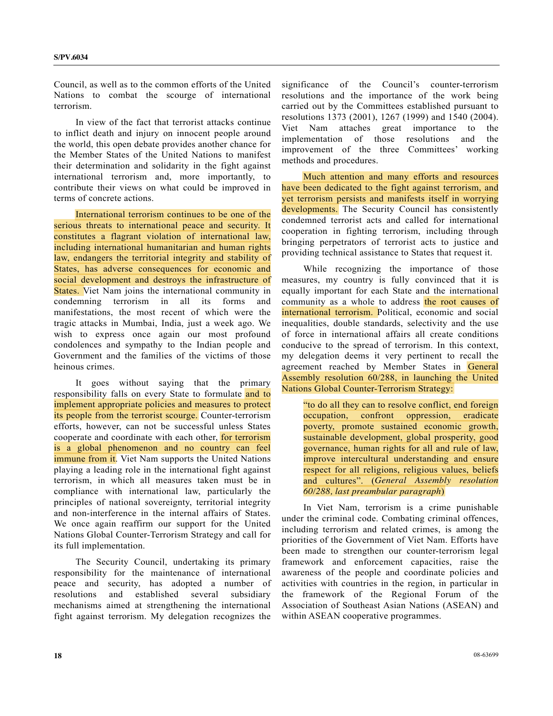Council, as well as to the common efforts of the United Nations to combat the scourge of international terrorism.

 In view of the fact that terrorist attacks continue to inflict death and injury on innocent people around the world, this open debate provides another chance for the Member States of the United Nations to manifest their determination and solidarity in the fight against international terrorism and, more importantly, to contribute their views on what could be improved in terms of concrete actions.

 International terrorism continues to be one of the serious threats to international peace and security. It constitutes a flagrant violation of international law, including international humanitarian and human rights law, endangers the territorial integrity and stability of States, has adverse consequences for economic and social development and destroys the infrastructure of States. Viet Nam joins the international community in condemning terrorism in all its forms and manifestations, the most recent of which were the tragic attacks in Mumbai, India, just a week ago. We wish to express once again our most profound condolences and sympathy to the Indian people and Government and the families of the victims of those heinous crimes.

 It goes without saying that the primary responsibility falls on every State to formulate and to implement appropriate policies and measures to protect its people from the terrorist scourge. Counter-terrorism efforts, however, can not be successful unless States cooperate and coordinate with each other, for terrorism is a global phenomenon and no country can feel immune from it. Viet Nam supports the United Nations playing a leading role in the international fight against terrorism, in which all measures taken must be in compliance with international law, particularly the principles of national sovereignty, territorial integrity and non-interference in the internal affairs of States. We once again reaffirm our support for the United Nations Global Counter-Terrorism Strategy and call for its full implementation.

 The Security Council, undertaking its primary responsibility for the maintenance of international peace and security, has adopted a number of resolutions and established several subsidiary mechanisms aimed at strengthening the international fight against terrorism. My delegation recognizes the

significance of the Council's counter-terrorism resolutions and the importance of the work being carried out by the Committees established pursuant to resolutions 1373 (2001), 1267 (1999) and 1540 (2004). Viet Nam attaches great importance to the implementation of those resolutions and the improvement of the three Committees' working methods and procedures.

 Much attention and many efforts and resources have been dedicated to the fight against terrorism, and yet terrorism persists and manifests itself in worrying developments. The Security Council has consistently condemned terrorist acts and called for international cooperation in fighting terrorism, including through bringing perpetrators of terrorist acts to justice and providing technical assistance to States that request it.

 While recognizing the importance of those measures, my country is fully convinced that it is equally important for each State and the international community as a whole to address the root causes of international terrorism. Political, economic and social inequalities, double standards, selectivity and the use of force in international affairs all create conditions conducive to the spread of terrorism. In this context, my delegation deems it very pertinent to recall the agreement reached by Member States in General Assembly resolution 60/288, in launching the United Nations Global Counter-Terrorism Strategy:

 "to do all they can to resolve conflict, end foreign occupation, confront oppression, eradicate poverty, promote sustained economic growth, sustainable development, global prosperity, good governance, human rights for all and rule of law, improve intercultural understanding and ensure respect for all religions, religious values, beliefs and cultures". (*General Assembly resolution 60/288, last preambular paragraph*)

 In Viet Nam, terrorism is a crime punishable under the criminal code. Combating criminal offences, including terrorism and related crimes, is among the priorities of the Government of Viet Nam. Efforts have been made to strengthen our counter-terrorism legal framework and enforcement capacities, raise the awareness of the people and coordinate policies and activities with countries in the region, in particular in the framework of the Regional Forum of the Association of Southeast Asian Nations (ASEAN) and within ASEAN cooperative programmes.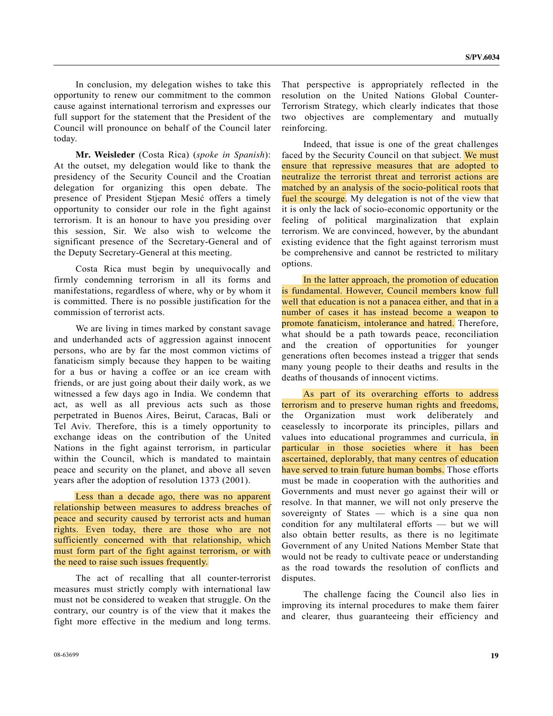In conclusion, my delegation wishes to take this opportunity to renew our commitment to the common cause against international terrorism and expresses our full support for the statement that the President of the Council will pronounce on behalf of the Council later today.

 **Mr. Weisleder** (Costa Rica) (*spoke in Spanish*): At the outset, my delegation would like to thank the presidency of the Security Council and the Croatian delegation for organizing this open debate. The presence of President Stjepan Mesić offers a timely opportunity to consider our role in the fight against terrorism. It is an honour to have you presiding over this session, Sir. We also wish to welcome the significant presence of the Secretary-General and of the Deputy Secretary-General at this meeting.

 Costa Rica must begin by unequivocally and firmly condemning terrorism in all its forms and manifestations, regardless of where, why or by whom it is committed. There is no possible justification for the commission of terrorist acts.

 We are living in times marked by constant savage and underhanded acts of aggression against innocent persons, who are by far the most common victims of fanaticism simply because they happen to be waiting for a bus or having a coffee or an ice cream with friends, or are just going about their daily work, as we witnessed a few days ago in India. We condemn that act, as well as all previous acts such as those perpetrated in Buenos Aires, Beirut, Caracas, Bali or Tel Aviv. Therefore, this is a timely opportunity to exchange ideas on the contribution of the United Nations in the fight against terrorism, in particular within the Council, which is mandated to maintain peace and security on the planet, and above all seven years after the adoption of resolution 1373 (2001).

 Less than a decade ago, there was no apparent relationship between measures to address breaches of peace and security caused by terrorist acts and human rights. Even today, there are those who are not sufficiently concerned with that relationship, which must form part of the fight against terrorism, or with the need to raise such issues frequently.

 The act of recalling that all counter-terrorist measures must strictly comply with international law must not be considered to weaken that struggle. On the contrary, our country is of the view that it makes the fight more effective in the medium and long terms.

 Indeed, that issue is one of the great challenges faced by the Security Council on that subject. We must ensure that repressive measures that are adopted to neutralize the terrorist threat and terrorist actions are matched by an analysis of the socio-political roots that fuel the scourge. My delegation is not of the view that it is only the lack of socio-economic opportunity or the feeling of political marginalization that explain terrorism. We are convinced, however, by the abundant existing evidence that the fight against terrorism must be comprehensive and cannot be restricted to military options.

 In the latter approach, the promotion of education is fundamental. However, Council members know full well that education is not a panacea either, and that in a number of cases it has instead become a weapon to promote fanaticism, intolerance and hatred. Therefore, what should be a path towards peace, reconciliation and the creation of opportunities for younger generations often becomes instead a trigger that sends many young people to their deaths and results in the deaths of thousands of innocent victims.

 As part of its overarching efforts to address terrorism and to preserve human rights and freedoms, the Organization must work deliberately and ceaselessly to incorporate its principles, pillars and values into educational programmes and curricula, in particular in those societies where it has been ascertained, deplorably, that many centres of education have served to train future human bombs. Those efforts must be made in cooperation with the authorities and Governments and must never go against their will or resolve. In that manner, we will not only preserve the sovereignty of States — which is a sine qua non condition for any multilateral efforts — but we will also obtain better results, as there is no legitimate Government of any United Nations Member State that would not be ready to cultivate peace or understanding as the road towards the resolution of conflicts and disputes.

 The challenge facing the Council also lies in improving its internal procedures to make them fairer and clearer, thus guaranteeing their efficiency and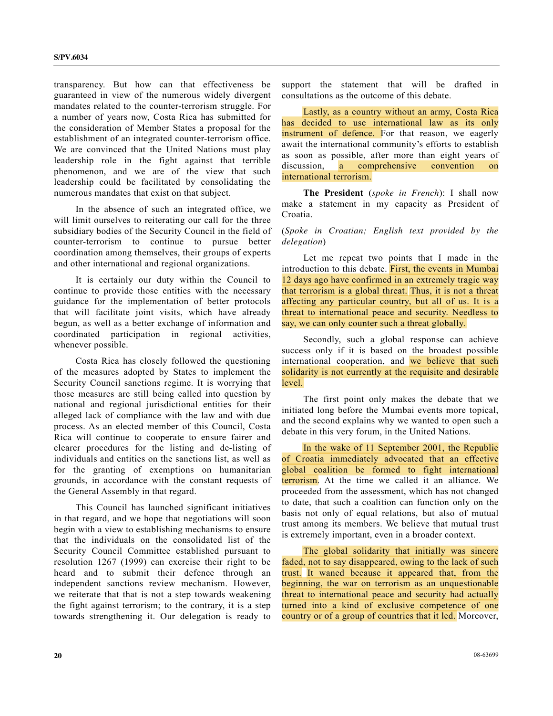transparency. But how can that effectiveness be guaranteed in view of the numerous widely divergent mandates related to the counter-terrorism struggle. For a number of years now, Costa Rica has submitted for the consideration of Member States a proposal for the establishment of an integrated counter-terrorism office. We are convinced that the United Nations must play leadership role in the fight against that terrible phenomenon, and we are of the view that such leadership could be facilitated by consolidating the numerous mandates that exist on that subject.

 In the absence of such an integrated office, we will limit ourselves to reiterating our call for the three subsidiary bodies of the Security Council in the field of counter-terrorism to continue to pursue better coordination among themselves, their groups of experts and other international and regional organizations.

 It is certainly our duty within the Council to continue to provide those entities with the necessary guidance for the implementation of better protocols that will facilitate joint visits, which have already begun, as well as a better exchange of information and coordinated participation in regional activities, whenever possible.

 Costa Rica has closely followed the questioning of the measures adopted by States to implement the Security Council sanctions regime. It is worrying that those measures are still being called into question by national and regional jurisdictional entities for their alleged lack of compliance with the law and with due process. As an elected member of this Council, Costa Rica will continue to cooperate to ensure fairer and clearer procedures for the listing and de-listing of individuals and entities on the sanctions list, as well as for the granting of exemptions on humanitarian grounds, in accordance with the constant requests of the General Assembly in that regard.

 This Council has launched significant initiatives in that regard, and we hope that negotiations will soon begin with a view to establishing mechanisms to ensure that the individuals on the consolidated list of the Security Council Committee established pursuant to resolution 1267 (1999) can exercise their right to be heard and to submit their defence through an independent sanctions review mechanism. However, we reiterate that that is not a step towards weakening the fight against terrorism; to the contrary, it is a step towards strengthening it. Our delegation is ready to

support the statement that will be drafted in consultations as the outcome of this debate.

 Lastly, as a country without an army, Costa Rica has decided to use international law as its only instrument of defence. For that reason, we eagerly await the international community's efforts to establish as soon as possible, after more than eight years of discussion, a comprehensive convention on international terrorism.

**The President** (*spoke in French*): I shall now make a statement in my capacity as President of Croatia.

(*Spoke in Croatian; English text provided by the delegation*)

 Let me repeat two points that I made in the introduction to this debate. First, the events in Mumbai 12 days ago have confirmed in an extremely tragic way that terrorism is a global threat. Thus, it is not a threat affecting any particular country, but all of us. It is a threat to international peace and security. Needless to say, we can only counter such a threat globally.

 Secondly, such a global response can achieve success only if it is based on the broadest possible international cooperation, and we believe that such solidarity is not currently at the requisite and desirable level.

 The first point only makes the debate that we initiated long before the Mumbai events more topical, and the second explains why we wanted to open such a debate in this very forum, in the United Nations.

 In the wake of 11 September 2001, the Republic of Croatia immediately advocated that an effective global coalition be formed to fight international terrorism. At the time we called it an alliance. We proceeded from the assessment, which has not changed to date, that such a coalition can function only on the basis not only of equal relations, but also of mutual trust among its members. We believe that mutual trust is extremely important, even in a broader context.

 The global solidarity that initially was sincere faded, not to say disappeared, owing to the lack of such trust. It waned because it appeared that, from the beginning, the war on terrorism as an unquestionable threat to international peace and security had actually turned into a kind of exclusive competence of one country or of a group of countries that it led. Moreover,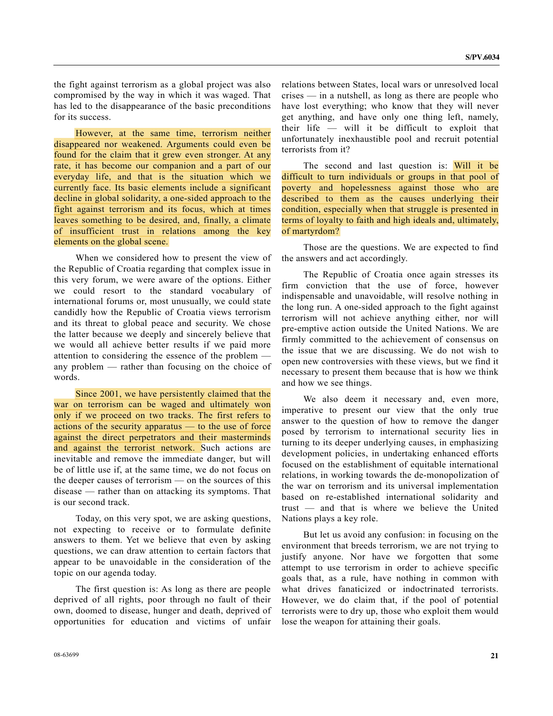the fight against terrorism as a global project was also compromised by the way in which it was waged. That has led to the disappearance of the basic preconditions for its success.

 However, at the same time, terrorism neither disappeared nor weakened. Arguments could even be found for the claim that it grew even stronger. At any rate, it has become our companion and a part of our everyday life, and that is the situation which we currently face. Its basic elements include a significant decline in global solidarity, a one-sided approach to the fight against terrorism and its focus, which at times leaves something to be desired, and, finally, a climate of insufficient trust in relations among the key elements on the global scene.

 When we considered how to present the view of the Republic of Croatia regarding that complex issue in this very forum, we were aware of the options. Either we could resort to the standard vocabulary of international forums or, most unusually, we could state candidly how the Republic of Croatia views terrorism and its threat to global peace and security. We chose the latter because we deeply and sincerely believe that we would all achieve better results if we paid more attention to considering the essence of the problem any problem — rather than focusing on the choice of words.

 Since 2001, we have persistently claimed that the war on terrorism can be waged and ultimately won only if we proceed on two tracks. The first refers to actions of the security apparatus — to the use of force against the direct perpetrators and their masterminds and against the terrorist network. Such actions are inevitable and remove the immediate danger, but will be of little use if, at the same time, we do not focus on the deeper causes of terrorism — on the sources of this disease — rather than on attacking its symptoms. That is our second track.

 Today, on this very spot, we are asking questions, not expecting to receive or to formulate definite answers to them. Yet we believe that even by asking questions, we can draw attention to certain factors that appear to be unavoidable in the consideration of the topic on our agenda today.

 The first question is: As long as there are people deprived of all rights, poor through no fault of their own, doomed to disease, hunger and death, deprived of opportunities for education and victims of unfair

relations between States, local wars or unresolved local crises — in a nutshell, as long as there are people who have lost everything; who know that they will never get anything, and have only one thing left, namely, their life — will it be difficult to exploit that unfortunately inexhaustible pool and recruit potential terrorists from it?

The second and last question is: Will it be difficult to turn individuals or groups in that pool of poverty and hopelessness against those who are described to them as the causes underlying their condition, especially when that struggle is presented in terms of loyalty to faith and high ideals and, ultimately, of martyrdom?

 Those are the questions. We are expected to find the answers and act accordingly.

 The Republic of Croatia once again stresses its firm conviction that the use of force, however indispensable and unavoidable, will resolve nothing in the long run. A one-sided approach to the fight against terrorism will not achieve anything either, nor will pre-emptive action outside the United Nations. We are firmly committed to the achievement of consensus on the issue that we are discussing. We do not wish to open new controversies with these views, but we find it necessary to present them because that is how we think and how we see things.

 We also deem it necessary and, even more, imperative to present our view that the only true answer to the question of how to remove the danger posed by terrorism to international security lies in turning to its deeper underlying causes, in emphasizing development policies, in undertaking enhanced efforts focused on the establishment of equitable international relations, in working towards the de-monopolization of the war on terrorism and its universal implementation based on re-established international solidarity and trust — and that is where we believe the United Nations plays a key role.

 But let us avoid any confusion: in focusing on the environment that breeds terrorism, we are not trying to justify anyone. Nor have we forgotten that some attempt to use terrorism in order to achieve specific goals that, as a rule, have nothing in common with what drives fanaticized or indoctrinated terrorists. However, we do claim that, if the pool of potential terrorists were to dry up, those who exploit them would lose the weapon for attaining their goals.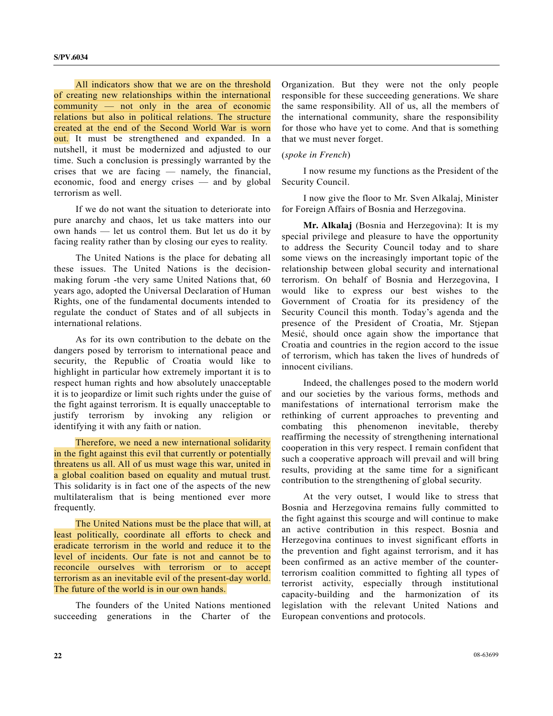All indicators show that we are on the threshold of creating new relationships within the international community — not only in the area of economic relations but also in political relations. The structure created at the end of the Second World War is worn out. It must be strengthened and expanded. In a nutshell, it must be modernized and adjusted to our time. Such a conclusion is pressingly warranted by the crises that we are facing — namely, the financial, economic, food and energy crises — and by global terrorism as well.

 If we do not want the situation to deteriorate into pure anarchy and chaos, let us take matters into our own hands — let us control them. But let us do it by facing reality rather than by closing our eyes to reality.

 The United Nations is the place for debating all these issues. The United Nations is the decisionmaking forum -the very same United Nations that, 60 years ago, adopted the Universal Declaration of Human Rights, one of the fundamental documents intended to regulate the conduct of States and of all subjects in international relations.

 As for its own contribution to the debate on the dangers posed by terrorism to international peace and security, the Republic of Croatia would like to highlight in particular how extremely important it is to respect human rights and how absolutely unacceptable it is to jeopardize or limit such rights under the guise of the fight against terrorism. It is equally unacceptable to justify terrorism by invoking any religion or identifying it with any faith or nation.

 Therefore, we need a new international solidarity in the fight against this evil that currently or potentially threatens us all. All of us must wage this war, united in a global coalition based on equality and mutual trust. This solidarity is in fact one of the aspects of the new multilateralism that is being mentioned ever more frequently.

 The United Nations must be the place that will, at least politically, coordinate all efforts to check and eradicate terrorism in the world and reduce it to the level of incidents. Our fate is not and cannot be to reconcile ourselves with terrorism or to accept terrorism as an inevitable evil of the present-day world. The future of the world is in our own hands.

 The founders of the United Nations mentioned succeeding generations in the Charter of the Organization. But they were not the only people responsible for these succeeding generations. We share the same responsibility. All of us, all the members of the international community, share the responsibility for those who have yet to come. And that is something that we must never forget.

#### (*spoke in French*)

 I now resume my functions as the President of the Security Council.

 I now give the floor to Mr. Sven Alkalaj, Minister for Foreign Affairs of Bosnia and Herzegovina.

**Mr. Alkalaj** (Bosnia and Herzegovina): It is my special privilege and pleasure to have the opportunity to address the Security Council today and to share some views on the increasingly important topic of the relationship between global security and international terrorism. On behalf of Bosnia and Herzegovina, I would like to express our best wishes to the Government of Croatia for its presidency of the Security Council this month. Today's agenda and the presence of the President of Croatia, Mr. Stjepan Mesić, should once again show the importance that Croatia and countries in the region accord to the issue of terrorism, which has taken the lives of hundreds of innocent civilians.

 Indeed, the challenges posed to the modern world and our societies by the various forms, methods and manifestations of international terrorism make the rethinking of current approaches to preventing and combating this phenomenon inevitable, thereby reaffirming the necessity of strengthening international cooperation in this very respect. I remain confident that such a cooperative approach will prevail and will bring results, providing at the same time for a significant contribution to the strengthening of global security.

 At the very outset, I would like to stress that Bosnia and Herzegovina remains fully committed to the fight against this scourge and will continue to make an active contribution in this respect. Bosnia and Herzegovina continues to invest significant efforts in the prevention and fight against terrorism, and it has been confirmed as an active member of the counterterrorism coalition committed to fighting all types of terrorist activity, especially through institutional capacity-building and the harmonization of its legislation with the relevant United Nations and European conventions and protocols.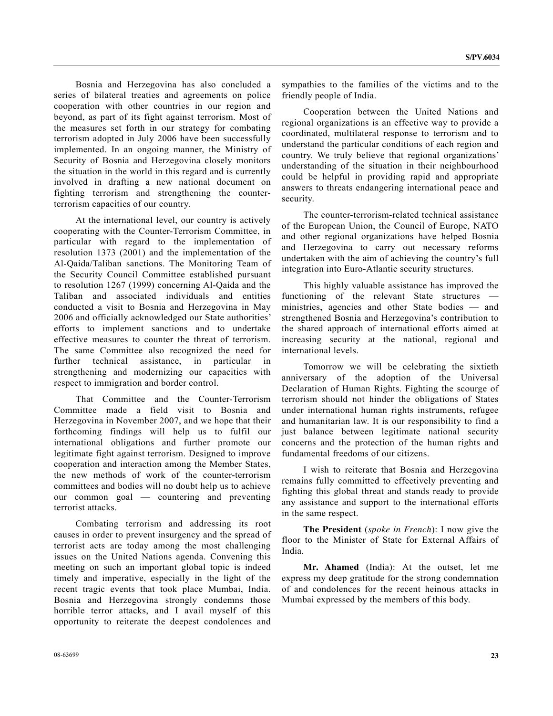Bosnia and Herzegovina has also concluded a series of bilateral treaties and agreements on police cooperation with other countries in our region and beyond, as part of its fight against terrorism. Most of the measures set forth in our strategy for combating terrorism adopted in July 2006 have been successfully implemented. In an ongoing manner, the Ministry of Security of Bosnia and Herzegovina closely monitors the situation in the world in this regard and is currently involved in drafting a new national document on fighting terrorism and strengthening the counterterrorism capacities of our country.

 At the international level, our country is actively cooperating with the Counter-Terrorism Committee, in particular with regard to the implementation of resolution 1373 (2001) and the implementation of the Al-Qaida/Taliban sanctions. The Monitoring Team of the Security Council Committee established pursuant to resolution 1267 (1999) concerning Al-Qaida and the Taliban and associated individuals and entities conducted a visit to Bosnia and Herzegovina in May 2006 and officially acknowledged our State authorities' efforts to implement sanctions and to undertake effective measures to counter the threat of terrorism. The same Committee also recognized the need for further technical assistance, in particular in strengthening and modernizing our capacities with respect to immigration and border control.

 That Committee and the Counter-Terrorism Committee made a field visit to Bosnia and Herzegovina in November 2007, and we hope that their forthcoming findings will help us to fulfil our international obligations and further promote our legitimate fight against terrorism. Designed to improve cooperation and interaction among the Member States, the new methods of work of the counter-terrorism committees and bodies will no doubt help us to achieve our common goal — countering and preventing terrorist attacks.

 Combating terrorism and addressing its root causes in order to prevent insurgency and the spread of terrorist acts are today among the most challenging issues on the United Nations agenda. Convening this meeting on such an important global topic is indeed timely and imperative, especially in the light of the recent tragic events that took place Mumbai, India. Bosnia and Herzegovina strongly condemns those horrible terror attacks, and I avail myself of this opportunity to reiterate the deepest condolences and

sympathies to the families of the victims and to the friendly people of India.

 Cooperation between the United Nations and regional organizations is an effective way to provide a coordinated, multilateral response to terrorism and to understand the particular conditions of each region and country. We truly believe that regional organizations' understanding of the situation in their neighbourhood could be helpful in providing rapid and appropriate answers to threats endangering international peace and security.

 The counter-terrorism-related technical assistance of the European Union, the Council of Europe, NATO and other regional organizations have helped Bosnia and Herzegovina to carry out necessary reforms undertaken with the aim of achieving the country's full integration into Euro-Atlantic security structures.

 This highly valuable assistance has improved the functioning of the relevant State structures ministries, agencies and other State bodies — and strengthened Bosnia and Herzegovina's contribution to the shared approach of international efforts aimed at increasing security at the national, regional and international levels.

 Tomorrow we will be celebrating the sixtieth anniversary of the adoption of the Universal Declaration of Human Rights. Fighting the scourge of terrorism should not hinder the obligations of States under international human rights instruments, refugee and humanitarian law. It is our responsibility to find a just balance between legitimate national security concerns and the protection of the human rights and fundamental freedoms of our citizens.

 I wish to reiterate that Bosnia and Herzegovina remains fully committed to effectively preventing and fighting this global threat and stands ready to provide any assistance and support to the international efforts in the same respect.

 **The President** (*spoke in French*): I now give the floor to the Minister of State for External Affairs of India.

**Mr. Ahamed** (India): At the outset, let me express my deep gratitude for the strong condemnation of and condolences for the recent heinous attacks in Mumbai expressed by the members of this body.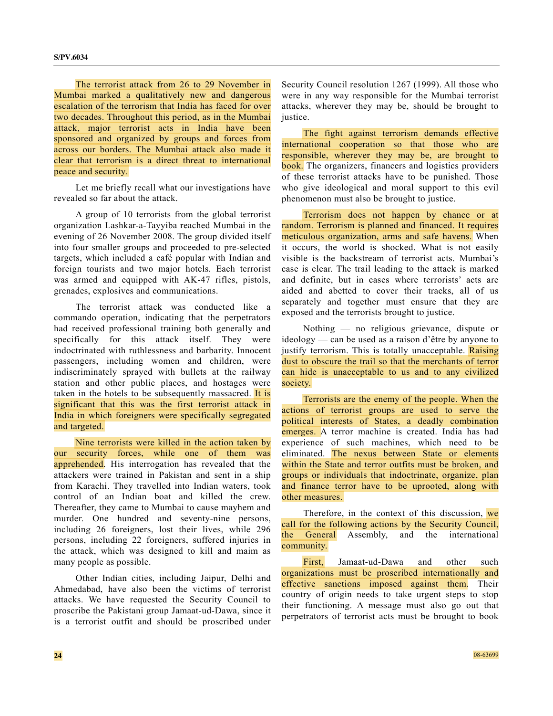The terrorist attack from 26 to 29 November in Mumbai marked a qualitatively new and dangerous escalation of the terrorism that India has faced for over two decades. Throughout this period, as in the Mumbai attack, major terrorist acts in India have been sponsored and organized by groups and forces from across our borders. The Mumbai attack also made it clear that terrorism is a direct threat to international peace and security.

 Let me briefly recall what our investigations have revealed so far about the attack.

 A group of 10 terrorists from the global terrorist organization Lashkar-a-Tayyiba reached Mumbai in the evening of 26 November 2008. The group divided itself into four smaller groups and proceeded to pre-selected targets, which included a café popular with Indian and foreign tourists and two major hotels. Each terrorist was armed and equipped with AK-47 rifles, pistols, grenades, explosives and communications.

 The terrorist attack was conducted like a commando operation, indicating that the perpetrators had received professional training both generally and specifically for this attack itself. They were indoctrinated with ruthlessness and barbarity. Innocent passengers, including women and children, were indiscriminately sprayed with bullets at the railway station and other public places, and hostages were taken in the hotels to be subsequently massacred. It is significant that this was the first terrorist attack in India in which foreigners were specifically segregated and targeted.

 Nine terrorists were killed in the action taken by our security forces, while one of them was apprehended. His interrogation has revealed that the attackers were trained in Pakistan and sent in a ship from Karachi. They travelled into Indian waters, took control of an Indian boat and killed the crew. Thereafter, they came to Mumbai to cause mayhem and murder. One hundred and seventy-nine persons, including 26 foreigners, lost their lives, while 296 persons, including 22 foreigners, suffered injuries in the attack, which was designed to kill and maim as many people as possible.

 Other Indian cities, including Jaipur, Delhi and Ahmedabad, have also been the victims of terrorist attacks. We have requested the Security Council to proscribe the Pakistani group Jamaat-ud-Dawa, since it is a terrorist outfit and should be proscribed under

Security Council resolution 1267 (1999). All those who were in any way responsible for the Mumbai terrorist attacks, wherever they may be, should be brought to justice.

 The fight against terrorism demands effective international cooperation so that those who are responsible, wherever they may be, are brought to book. The organizers, financers and logistics providers of these terrorist attacks have to be punished. Those who give ideological and moral support to this evil phenomenon must also be brought to justice.

 Terrorism does not happen by chance or at random. Terrorism is planned and financed. It requires meticulous organization, arms and safe havens. When it occurs, the world is shocked. What is not easily visible is the backstream of terrorist acts. Mumbai's case is clear. The trail leading to the attack is marked and definite, but in cases where terrorists' acts are aided and abetted to cover their tracks, all of us separately and together must ensure that they are exposed and the terrorists brought to justice.

 Nothing — no religious grievance, dispute or ideology — can be used as a raison d'être by anyone to justify terrorism. This is totally unacceptable. Raising dust to obscure the trail so that the merchants of terror can hide is unacceptable to us and to any civilized society.

 Terrorists are the enemy of the people. When the actions of terrorist groups are used to serve the political interests of States, a deadly combination emerges. A terror machine is created. India has had experience of such machines, which need to be eliminated. The nexus between State or elements within the State and terror outfits must be broken, and groups or individuals that indoctrinate, organize, plan and finance terror have to be uprooted, along with other measures.

Therefore, in the context of this discussion, we call for the following actions by the Security Council, the General Assembly, and the international community.

First, Jamaat-ud-Dawa and other such organizations must be proscribed internationally and effective sanctions imposed against them. Their country of origin needs to take urgent steps to stop their functioning. A message must also go out that perpetrators of terrorist acts must be brought to book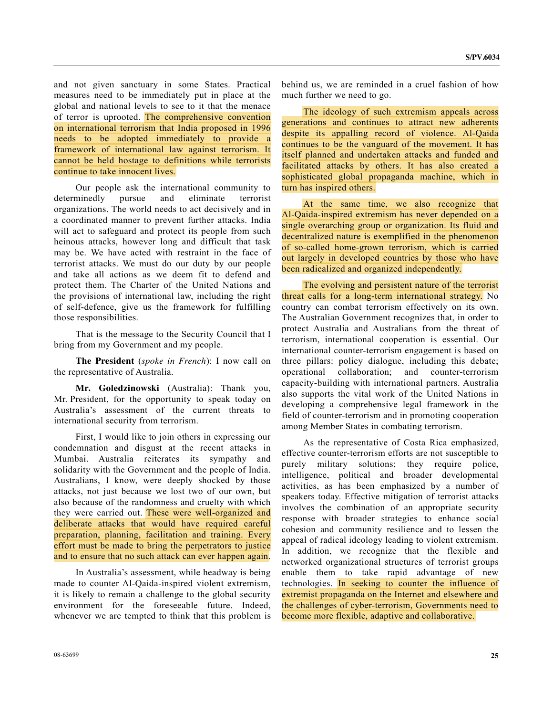and not given sanctuary in some States. Practical measures need to be immediately put in place at the global and national levels to see to it that the menace of terror is uprooted. The comprehensive convention on international terrorism that India proposed in 1996 needs to be adopted immediately to provide a framework of international law against terrorism. It cannot be held hostage to definitions while terrorists continue to take innocent lives.

 Our people ask the international community to determinedly pursue and eliminate terrorist organizations. The world needs to act decisively and in a coordinated manner to prevent further attacks. India will act to safeguard and protect its people from such heinous attacks, however long and difficult that task may be. We have acted with restraint in the face of terrorist attacks. We must do our duty by our people and take all actions as we deem fit to defend and protect them. The Charter of the United Nations and the provisions of international law, including the right of self-defence, give us the framework for fulfilling those responsibilities.

 That is the message to the Security Council that I bring from my Government and my people.

**The President** (*spoke in French*): I now call on the representative of Australia.

**Mr. Goledzinowski** (Australia): Thank you, Mr. President, for the opportunity to speak today on Australia's assessment of the current threats to international security from terrorism.

 First, I would like to join others in expressing our condemnation and disgust at the recent attacks in Mumbai. Australia reiterates its sympathy and solidarity with the Government and the people of India. Australians, I know, were deeply shocked by those attacks, not just because we lost two of our own, but also because of the randomness and cruelty with which they were carried out. These were well-organized and deliberate attacks that would have required careful preparation, planning, facilitation and training. Every effort must be made to bring the perpetrators to justice and to ensure that no such attack can ever happen again.

 In Australia's assessment, while headway is being made to counter Al-Qaida-inspired violent extremism, it is likely to remain a challenge to the global security environment for the foreseeable future. Indeed, whenever we are tempted to think that this problem is behind us, we are reminded in a cruel fashion of how much further we need to go.

 The ideology of such extremism appeals across generations and continues to attract new adherents despite its appalling record of violence. Al-Qaida continues to be the vanguard of the movement. It has itself planned and undertaken attacks and funded and facilitated attacks by others. It has also created a sophisticated global propaganda machine, which in turn has inspired others.

 At the same time, we also recognize that Al-Qaida-inspired extremism has never depended on a single overarching group or organization. Its fluid and decentralized nature is exemplified in the phenomenon of so-called home-grown terrorism, which is carried out largely in developed countries by those who have been radicalized and organized independently.

 The evolving and persistent nature of the terrorist threat calls for a long-term international strategy. No country can combat terrorism effectively on its own. The Australian Government recognizes that, in order to protect Australia and Australians from the threat of terrorism, international cooperation is essential. Our international counter-terrorism engagement is based on three pillars: policy dialogue, including this debate; operational collaboration; and counter-terrorism capacity-building with international partners. Australia also supports the vital work of the United Nations in developing a comprehensive legal framework in the field of counter-terrorism and in promoting cooperation among Member States in combating terrorism.

 As the representative of Costa Rica emphasized, effective counter-terrorism efforts are not susceptible to purely military solutions; they require police, intelligence, political and broader developmental activities, as has been emphasized by a number of speakers today. Effective mitigation of terrorist attacks involves the combination of an appropriate security response with broader strategies to enhance social cohesion and community resilience and to lessen the appeal of radical ideology leading to violent extremism. In addition, we recognize that the flexible and networked organizational structures of terrorist groups enable them to take rapid advantage of new technologies. In seeking to counter the influence of extremist propaganda on the Internet and elsewhere and the challenges of cyber-terrorism, Governments need to become more flexible, adaptive and collaborative.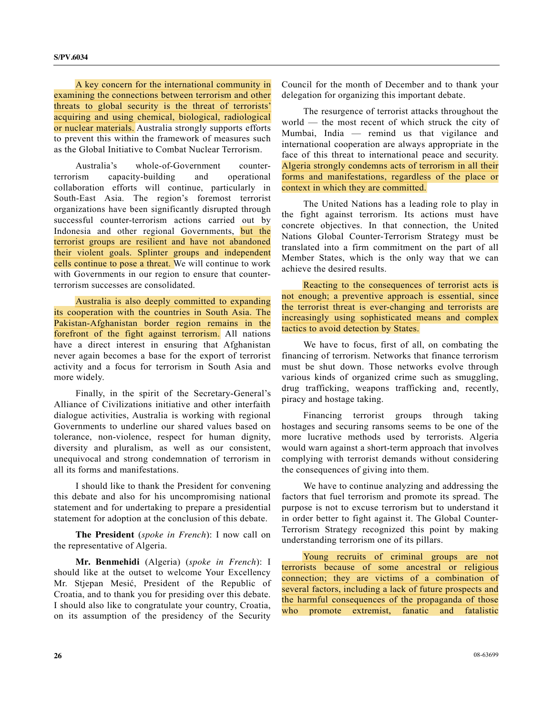A key concern for the international community in examining the connections between terrorism and other threats to global security is the threat of terrorists' acquiring and using chemical, biological, radiological or nuclear materials. Australia strongly supports efforts to prevent this within the framework of measures such as the Global Initiative to Combat Nuclear Terrorism.

 Australia's whole-of-Government counterterrorism capacity-building and operational collaboration efforts will continue, particularly in South-East Asia. The region's foremost terrorist organizations have been significantly disrupted through successful counter-terrorism actions carried out by Indonesia and other regional Governments, but the terrorist groups are resilient and have not abandoned their violent goals. Splinter groups and independent cells continue to pose a threat. We will continue to work with Governments in our region to ensure that counterterrorism successes are consolidated.

 Australia is also deeply committed to expanding its cooperation with the countries in South Asia. The Pakistan-Afghanistan border region remains in the forefront of the fight against terrorism. All nations have a direct interest in ensuring that Afghanistan never again becomes a base for the export of terrorist activity and a focus for terrorism in South Asia and more widely.

 Finally, in the spirit of the Secretary-General's Alliance of Civilizations initiative and other interfaith dialogue activities, Australia is working with regional Governments to underline our shared values based on tolerance, non-violence, respect for human dignity, diversity and pluralism, as well as our consistent, unequivocal and strong condemnation of terrorism in all its forms and manifestations.

 I should like to thank the President for convening this debate and also for his uncompromising national statement and for undertaking to prepare a presidential statement for adoption at the conclusion of this debate.

**The President** (*spoke in French*): I now call on the representative of Algeria.

**Mr. Benmehidi** (Algeria) (*spoke in French*): I should like at the outset to welcome Your Excellency Mr. Stjepan Mesić, President of the Republic of Croatia, and to thank you for presiding over this debate. I should also like to congratulate your country, Croatia, on its assumption of the presidency of the Security

Council for the month of December and to thank your delegation for organizing this important debate.

 The resurgence of terrorist attacks throughout the world — the most recent of which struck the city of Mumbai, India — remind us that vigilance and international cooperation are always appropriate in the face of this threat to international peace and security. Algeria strongly condemns acts of terrorism in all their forms and manifestations, regardless of the place or context in which they are committed.

 The United Nations has a leading role to play in the fight against terrorism. Its actions must have concrete objectives. In that connection, the United Nations Global Counter-Terrorism Strategy must be translated into a firm commitment on the part of all Member States, which is the only way that we can achieve the desired results.

 Reacting to the consequences of terrorist acts is not enough; a preventive approach is essential, since the terrorist threat is ever-changing and terrorists are increasingly using sophisticated means and complex tactics to avoid detection by States.

 We have to focus, first of all, on combating the financing of terrorism. Networks that finance terrorism must be shut down. Those networks evolve through various kinds of organized crime such as smuggling, drug trafficking, weapons trafficking and, recently, piracy and hostage taking.

 Financing terrorist groups through taking hostages and securing ransoms seems to be one of the more lucrative methods used by terrorists. Algeria would warn against a short-term approach that involves complying with terrorist demands without considering the consequences of giving into them.

 We have to continue analyzing and addressing the factors that fuel terrorism and promote its spread. The purpose is not to excuse terrorism but to understand it in order better to fight against it. The Global Counter-Terrorism Strategy recognized this point by making understanding terrorism one of its pillars.

 Young recruits of criminal groups are not terrorists because of some ancestral or religious connection; they are victims of a combination of several factors, including a lack of future prospects and the harmful consequences of the propaganda of those who promote extremist, fanatic and fatalistic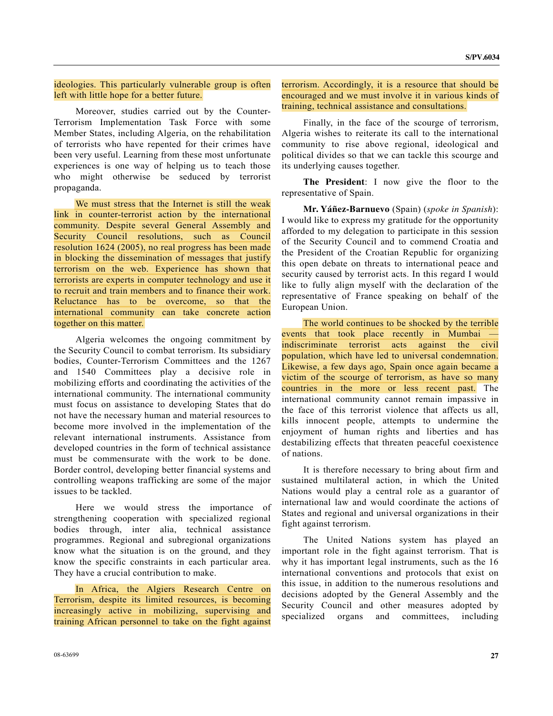#### ideologies. This particularly vulnerable group is often left with little hope for a better future.

 Moreover, studies carried out by the Counter-Terrorism Implementation Task Force with some Member States, including Algeria, on the rehabilitation of terrorists who have repented for their crimes have been very useful. Learning from these most unfortunate experiences is one way of helping us to teach those who might otherwise be seduced by terrorist propaganda.

 We must stress that the Internet is still the weak link in counter-terrorist action by the international community. Despite several General Assembly and Security Council resolutions, such as Council resolution 1624 (2005), no real progress has been made in blocking the dissemination of messages that justify terrorism on the web. Experience has shown that terrorists are experts in computer technology and use it to recruit and train members and to finance their work. Reluctance has to be overcome, so that the international community can take concrete action together on this matter.

 Algeria welcomes the ongoing commitment by the Security Council to combat terrorism. Its subsidiary bodies, Counter-Terrorism Committees and the 1267 and 1540 Committees play a decisive role in mobilizing efforts and coordinating the activities of the international community. The international community must focus on assistance to developing States that do not have the necessary human and material resources to become more involved in the implementation of the relevant international instruments. Assistance from developed countries in the form of technical assistance must be commensurate with the work to be done. Border control, developing better financial systems and controlling weapons trafficking are some of the major issues to be tackled.

 Here we would stress the importance of strengthening cooperation with specialized regional bodies through, inter alia, technical assistance programmes. Regional and subregional organizations know what the situation is on the ground, and they know the specific constraints in each particular area. They have a crucial contribution to make.

 In Africa, the Algiers Research Centre on Terrorism, despite its limited resources, is becoming increasingly active in mobilizing, supervising and training African personnel to take on the fight against terrorism. Accordingly, it is a resource that should be encouraged and we must involve it in various kinds of training, technical assistance and consultations.

 Finally, in the face of the scourge of terrorism, Algeria wishes to reiterate its call to the international community to rise above regional, ideological and political divides so that we can tackle this scourge and its underlying causes together.

**The President**: I now give the floor to the representative of Spain.

**Mr. Yáñez-Barnuevo** (Spain) (*spoke in Spanish*): I would like to express my gratitude for the opportunity afforded to my delegation to participate in this session of the Security Council and to commend Croatia and the President of the Croatian Republic for organizing this open debate on threats to international peace and security caused by terrorist acts. In this regard I would like to fully align myself with the declaration of the representative of France speaking on behalf of the European Union.

 The world continues to be shocked by the terrible events that took place recently in Mumbai indiscriminate terrorist acts against the civil population, which have led to universal condemnation. Likewise, a few days ago, Spain once again became a victim of the scourge of terrorism, as have so many countries in the more or less recent past. The international community cannot remain impassive in the face of this terrorist violence that affects us all, kills innocent people, attempts to undermine the enjoyment of human rights and liberties and has destabilizing effects that threaten peaceful coexistence of nations.

 It is therefore necessary to bring about firm and sustained multilateral action, in which the United Nations would play a central role as a guarantor of international law and would coordinate the actions of States and regional and universal organizations in their fight against terrorism.

 The United Nations system has played an important role in the fight against terrorism. That is why it has important legal instruments, such as the 16 international conventions and protocols that exist on this issue, in addition to the numerous resolutions and decisions adopted by the General Assembly and the Security Council and other measures adopted by specialized organs and committees, including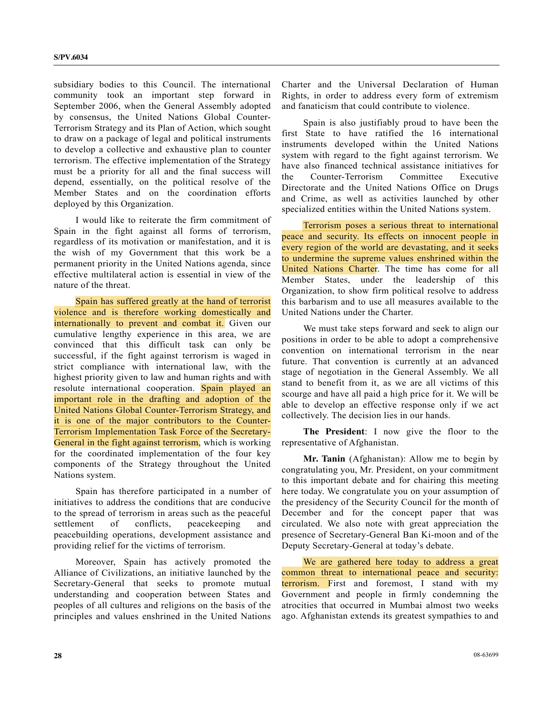subsidiary bodies to this Council. The international community took an important step forward in September 2006, when the General Assembly adopted by consensus, the United Nations Global Counter-Terrorism Strategy and its Plan of Action, which sought to draw on a package of legal and political instruments to develop a collective and exhaustive plan to counter terrorism. The effective implementation of the Strategy must be a priority for all and the final success will depend, essentially, on the political resolve of the Member States and on the coordination efforts deployed by this Organization.

 I would like to reiterate the firm commitment of Spain in the fight against all forms of terrorism, regardless of its motivation or manifestation, and it is the wish of my Government that this work be a permanent priority in the United Nations agenda, since effective multilateral action is essential in view of the nature of the threat.

 Spain has suffered greatly at the hand of terrorist violence and is therefore working domestically and internationally to prevent and combat it. Given our cumulative lengthy experience in this area, we are convinced that this difficult task can only be successful, if the fight against terrorism is waged in strict compliance with international law, with the highest priority given to law and human rights and with resolute international cooperation. Spain played an important role in the drafting and adoption of the United Nations Global Counter-Terrorism Strategy, and it is one of the major contributors to the Counter-Terrorism Implementation Task Force of the Secretary-General in the fight against terrorism, which is working for the coordinated implementation of the four key components of the Strategy throughout the United Nations system.

 Spain has therefore participated in a number of initiatives to address the conditions that are conducive to the spread of terrorism in areas such as the peaceful settlement of conflicts, peacekeeping and peacebuilding operations, development assistance and providing relief for the victims of terrorism.

 Moreover, Spain has actively promoted the Alliance of Civilizations, an initiative launched by the Secretary-General that seeks to promote mutual understanding and cooperation between States and peoples of all cultures and religions on the basis of the principles and values enshrined in the United Nations

Charter and the Universal Declaration of Human Rights, in order to address every form of extremism and fanaticism that could contribute to violence.

 Spain is also justifiably proud to have been the first State to have ratified the 16 international instruments developed within the United Nations system with regard to the fight against terrorism. We have also financed technical assistance initiatives for the Counter-Terrorism Committee Executive Directorate and the United Nations Office on Drugs and Crime, as well as activities launched by other specialized entities within the United Nations system.

 Terrorism poses a serious threat to international peace and security. Its effects on innocent people in every region of the world are devastating, and it seeks to undermine the supreme values enshrined within the United Nations Charter. The time has come for all Member States, under the leadership of this Organization, to show firm political resolve to address this barbarism and to use all measures available to the United Nations under the Charter.

 We must take steps forward and seek to align our positions in order to be able to adopt a comprehensive convention on international terrorism in the near future. That convention is currently at an advanced stage of negotiation in the General Assembly. We all stand to benefit from it, as we are all victims of this scourge and have all paid a high price for it. We will be able to develop an effective response only if we act collectively. The decision lies in our hands.

**The President**: I now give the floor to the representative of Afghanistan.

**Mr. Tanin** (Afghanistan): Allow me to begin by congratulating you, Mr. President, on your commitment to this important debate and for chairing this meeting here today. We congratulate you on your assumption of the presidency of the Security Council for the month of December and for the concept paper that was circulated. We also note with great appreciation the presence of Secretary-General Ban Ki-moon and of the Deputy Secretary-General at today's debate.

 We are gathered here today to address a great common threat to international peace and security: terrorism. First and foremost, I stand with my Government and people in firmly condemning the atrocities that occurred in Mumbai almost two weeks ago. Afghanistan extends its greatest sympathies to and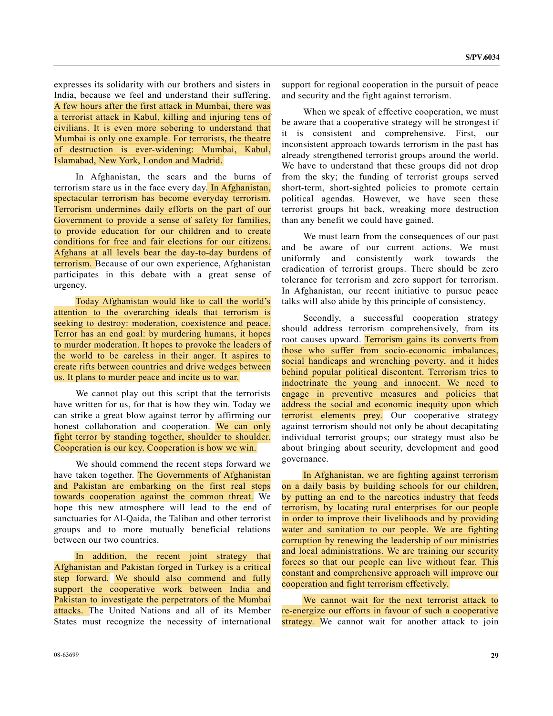expresses its solidarity with our brothers and sisters in India, because we feel and understand their suffering. A few hours after the first attack in Mumbai, there was a terrorist attack in Kabul, killing and injuring tens of civilians. It is even more sobering to understand that Mumbai is only one example. For terrorists, the theatre of destruction is ever-widening: Mumbai, Kabul, Islamabad, New York, London and Madrid.

 In Afghanistan, the scars and the burns of terrorism stare us in the face every day. In Afghanistan, spectacular terrorism has become everyday terrorism. Terrorism undermines daily efforts on the part of our Government to provide a sense of safety for families, to provide education for our children and to create conditions for free and fair elections for our citizens. Afghans at all levels bear the day-to-day burdens of terrorism. Because of our own experience, Afghanistan participates in this debate with a great sense of urgency.

 Today Afghanistan would like to call the world's attention to the overarching ideals that terrorism is seeking to destroy: moderation, coexistence and peace. Terror has an end goal: by murdering humans, it hopes to murder moderation. It hopes to provoke the leaders of the world to be careless in their anger. It aspires to create rifts between countries and drive wedges between us. It plans to murder peace and incite us to war.

 We cannot play out this script that the terrorists have written for us, for that is how they win. Today we can strike a great blow against terror by affirming our honest collaboration and cooperation. We can only fight terror by standing together, shoulder to shoulder. Cooperation is our key. Cooperation is how we win.

 We should commend the recent steps forward we have taken together. The Governments of Afghanistan and Pakistan are embarking on the first real steps towards cooperation against the common threat. We hope this new atmosphere will lead to the end of sanctuaries for Al-Qaida, the Taliban and other terrorist groups and to more mutually beneficial relations between our two countries.

 In addition, the recent joint strategy that Afghanistan and Pakistan forged in Turkey is a critical step forward. We should also commend and fully support the cooperative work between India and Pakistan to investigate the perpetrators of the Mumbai attacks. The United Nations and all of its Member States must recognize the necessity of international

support for regional cooperation in the pursuit of peace and security and the fight against terrorism.

 When we speak of effective cooperation, we must be aware that a cooperative strategy will be strongest if it is consistent and comprehensive. First, our inconsistent approach towards terrorism in the past has already strengthened terrorist groups around the world. We have to understand that these groups did not drop from the sky; the funding of terrorist groups served short-term, short-sighted policies to promote certain political agendas. However, we have seen these terrorist groups hit back, wreaking more destruction than any benefit we could have gained.

 We must learn from the consequences of our past and be aware of our current actions. We must uniformly and consistently work towards the eradication of terrorist groups. There should be zero tolerance for terrorism and zero support for terrorism. In Afghanistan, our recent initiative to pursue peace talks will also abide by this principle of consistency.

 Secondly, a successful cooperation strategy should address terrorism comprehensively, from its root causes upward. Terrorism gains its converts from those who suffer from socio-economic imbalances, social handicaps and wrenching poverty, and it hides behind popular political discontent. Terrorism tries to indoctrinate the young and innocent. We need to engage in preventive measures and policies that address the social and economic inequity upon which terrorist elements prey. Our cooperative strategy against terrorism should not only be about decapitating individual terrorist groups; our strategy must also be about bringing about security, development and good governance.

 In Afghanistan, we are fighting against terrorism on a daily basis by building schools for our children, by putting an end to the narcotics industry that feeds terrorism, by locating rural enterprises for our people in order to improve their livelihoods and by providing water and sanitation to our people. We are fighting corruption by renewing the leadership of our ministries and local administrations. We are training our security forces so that our people can live without fear. This constant and comprehensive approach will improve our cooperation and fight terrorism effectively.

 We cannot wait for the next terrorist attack to re-energize our efforts in favour of such a cooperative strategy. We cannot wait for another attack to join